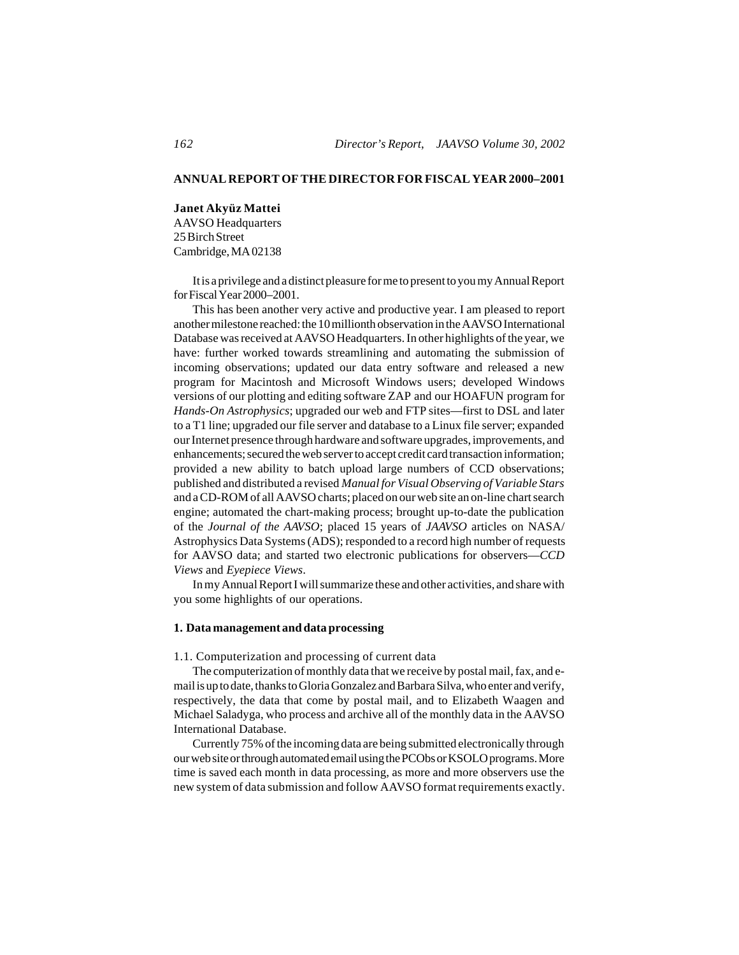# **ANNUAL REPORT OF THE DIRECTOR FOR FISCAL YEAR 2000–2001**

**Janet Akyüz Mattei** AAVSO Headquarters 25 Birch Street Cambridge, MA 02138

It is a privilege and a distinct pleasure for me to present to you my Annual Report for Fiscal Year 2000–2001.

This has been another very active and productive year. I am pleased to report another milestone reached: the 10 millionth observation in the AAVSO International Database was received at AAVSO Headquarters. In other highlights of the year, we have: further worked towards streamlining and automating the submission of incoming observations; updated our data entry software and released a new program for Macintosh and Microsoft Windows users; developed Windows versions of our plotting and editing software ZAP and our HOAFUN program for *Hands-On Astrophysics*; upgraded our web and FTP sites—first to DSL and later to a T1 line; upgraded our file server and database to a Linux file server; expanded our Internet presence through hardware and software upgrades, improvements, and enhancements; secured the web server to accept credit card transaction information; provided a new ability to batch upload large numbers of CCD observations; published and distributed a revised *Manual for Visual Observing of Variable Stars* and a CD-ROM of all AAVSO charts; placed on our web site an on-line chart search engine; automated the chart-making process; brought up-to-date the publication of the *Journal of the AAVSO*; placed 15 years of *JAAVSO* articles on NASA/ Astrophysics Data Systems (ADS); responded to a record high number of requests for AAVSO data; and started two electronic publications for observers—*CCD Views* and *Eyepiece Views*.

In my Annual Report I will summarize these and other activities, and share with you some highlights of our operations.

## **1. Data management and data processing**

1.1. Computerization and processing of current data

The computerization of monthly data that we receive by postal mail, fax, and email is up to date, thanks to Gloria Gonzalez and Barbara Silva, who enter and verify, respectively, the data that come by postal mail, and to Elizabeth Waagen and Michael Saladyga, who process and archive all of the monthly data in the AAVSO International Database.

Currently 75% of the incoming data are being submitted electronically through our web site or through automated email using the PCObs or KSOLO programs. More time is saved each month in data processing, as more and more observers use the new system of data submission and follow AAVSO format requirements exactly.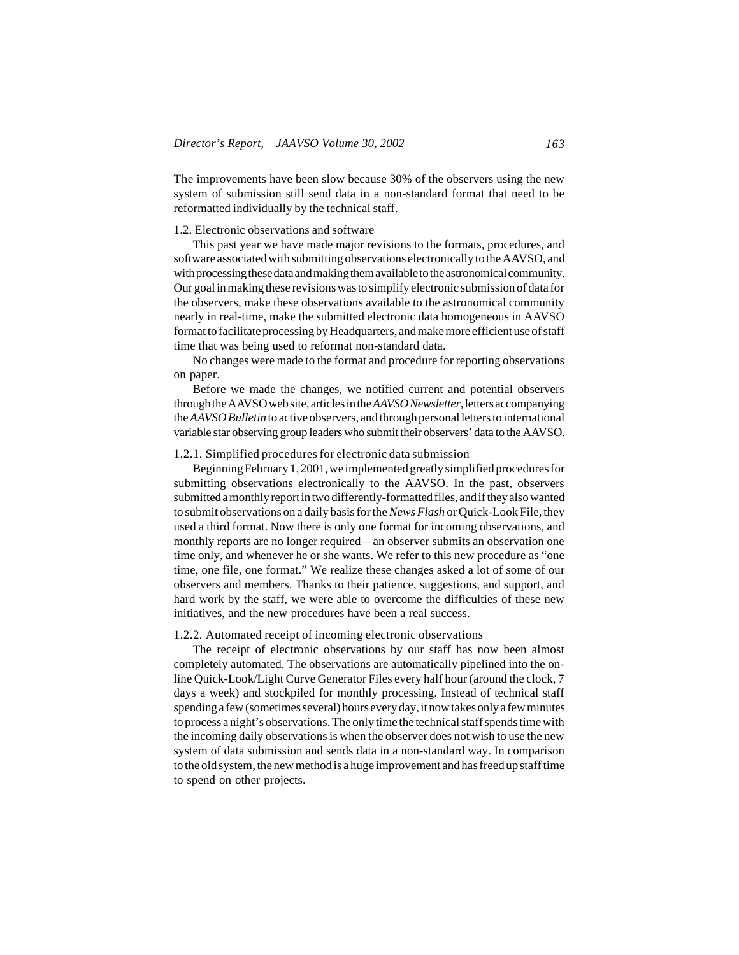The improvements have been slow because 30% of the observers using the new system of submission still send data in a non-standard format that need to be reformatted individually by the technical staff.

### 1.2. Electronic observations and software

This past year we have made major revisions to the formats, procedures, and software associated with submitting observations electronically to the AAVSO, and with processing these data and making them available to the astronomical community. Our goal in making these revisions was to simplify electronic submission of data for the observers, make these observations available to the astronomical community nearly in real-time, make the submitted electronic data homogeneous in AAVSO format to facilitate processing by Headquarters, and make more efficient use of staff time that was being used to reformat non-standard data.

No changes were made to the format and procedure for reporting observations on paper.

Before we made the changes, we notified current and potential observers through the AAVSO web site, articles in the *AAVSO Newsletter*, letters accompanying the *AAVSO Bulletin* to active observers, and through personal letters to international variable star observing group leaders who submit their observers' data to the AAVSO.

#### 1.2.1. Simplified procedures for electronic data submission

Beginning February 1, 2001, we implemented greatly simplified procedures for submitting observations electronically to the AAVSO. In the past, observers submitted a monthly report in two differently-formatted files, and if they also wanted to submit observations on a daily basis for the *News Flash* or Quick-Look File, they used a third format. Now there is only one format for incoming observations, and monthly reports are no longer required—an observer submits an observation one time only, and whenever he or she wants. We refer to this new procedure as "one time, one file, one format." We realize these changes asked a lot of some of our observers and members. Thanks to their patience, suggestions, and support, and hard work by the staff, we were able to overcome the difficulties of these new initiatives, and the new procedures have been a real success.

# 1.2.2. Automated receipt of incoming electronic observations

The receipt of electronic observations by our staff has now been almost completely automated. The observations are automatically pipelined into the online Quick-Look/Light Curve Generator Files every half hour (around the clock, 7 days a week) and stockpiled for monthly processing. Instead of technical staff spending a few (sometimes several) hours every day, it now takes only a few minutes to process a night's observations. The only time the technical staff spends time with the incoming daily observations is when the observer does not wish to use the new system of data submission and sends data in a non-standard way. In comparison to the old system, the new method is a huge improvement and has freed up staff time to spend on other projects.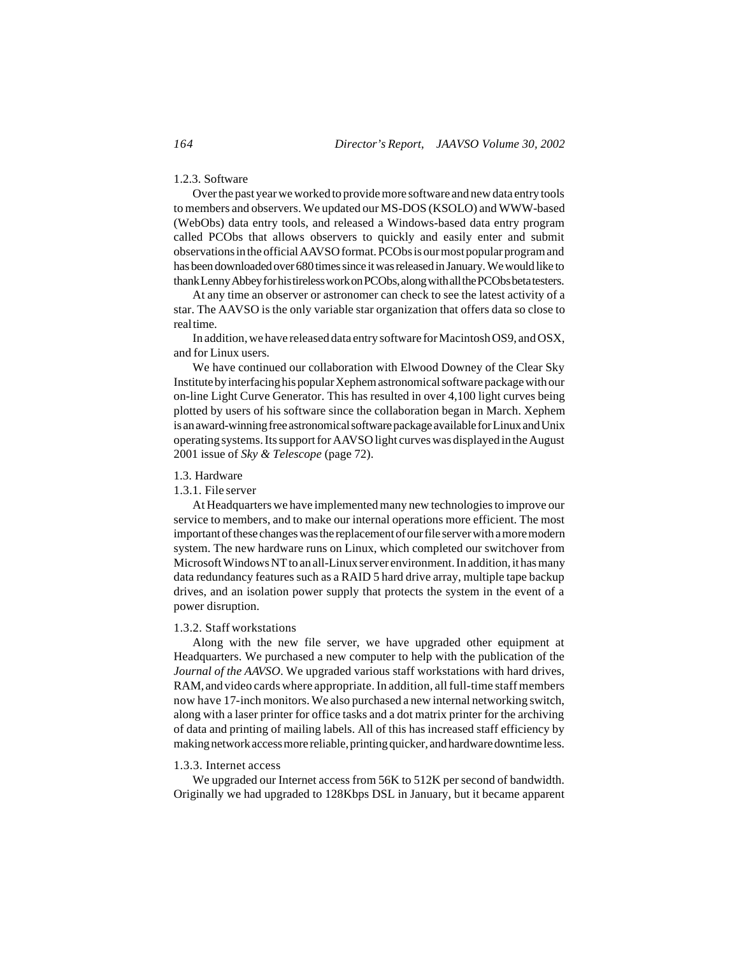## 1.2.3. Software

Over the past year we worked to provide more software and new data entry tools to members and observers. We updated our MS-DOS (KSOLO) and WWW-based (WebObs) data entry tools, and released a Windows-based data entry program called PCObs that allows observers to quickly and easily enter and submit observations in the official AAVSO format. PCObs is our most popular program and has been downloaded over 680 times since it was released in January. We would like to thank Lenny Abbey for his tireless work on PCObs, along with all the PCObs beta testers.

At any time an observer or astronomer can check to see the latest activity of a star. The AAVSO is the only variable star organization that offers data so close to real time.

In addition, we have released data entry software for Macintosh OS9, and OSX, and for Linux users.

We have continued our collaboration with Elwood Downey of the Clear Sky Institute by interfacing his popular Xephem astronomical software package with our on-line Light Curve Generator. This has resulted in over 4,100 light curves being plotted by users of his software since the collaboration began in March. Xephem is an award-winning free astronomical software package available for Linux and Unix operating systems. Its support for AAVSO light curves was displayed in the August 2001 issue of *Sky & Telescope* (page 72).

#### 1.3. Hardware

1.3.1. File server

At Headquarters we have implemented many new technologies to improve our service to members, and to make our internal operations more efficient. The most important of these changes was the replacement of our file server with a more modern system. The new hardware runs on Linux, which completed our switchover from Microsoft Windows NT to an all-Linux server environment. In addition, it has many data redundancy features such as a RAID 5 hard drive array, multiple tape backup drives, and an isolation power supply that protects the system in the event of a power disruption.

## 1.3.2. Staff workstations

Along with the new file server, we have upgraded other equipment at Headquarters. We purchased a new computer to help with the publication of the *Journal of the AAVSO*. We upgraded various staff workstations with hard drives, RAM, and video cards where appropriate. In addition, all full-time staff members now have 17-inch monitors. We also purchased a new internal networking switch, along with a laser printer for office tasks and a dot matrix printer for the archiving of data and printing of mailing labels. All of this has increased staff efficiency by making network access more reliable, printing quicker, and hardware downtime less.

#### 1.3.3. Internet access

We upgraded our Internet access from 56K to 512K per second of bandwidth. Originally we had upgraded to 128Kbps DSL in January, but it became apparent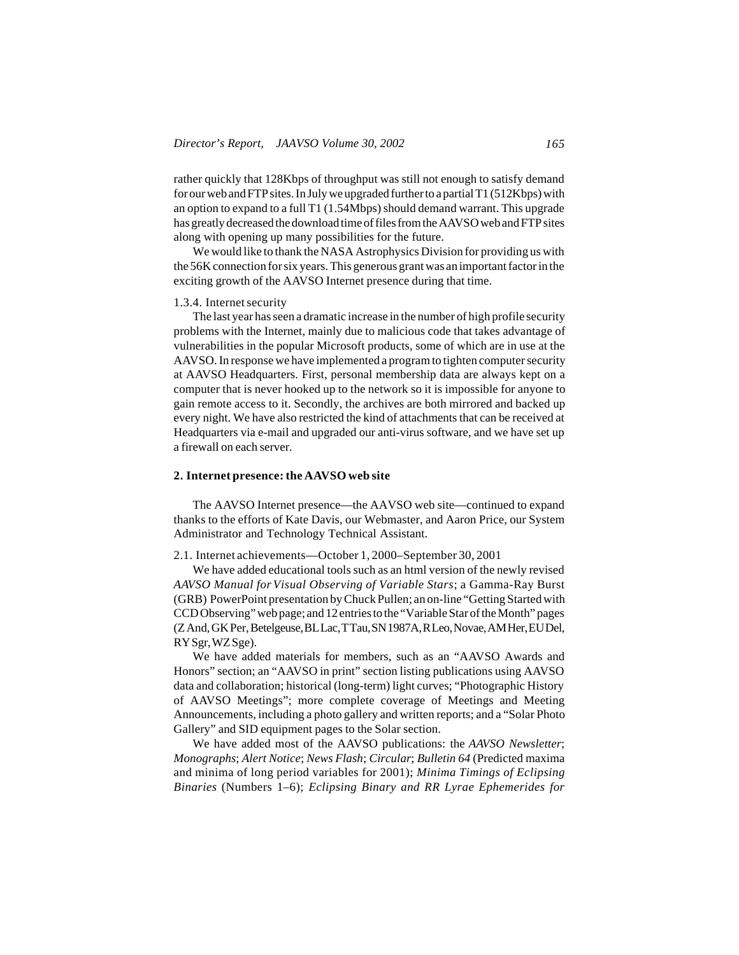rather quickly that 128Kbps of throughput was still not enough to satisfy demand for our web and FTP sites. In July we upgraded further to a partial T1 (512Kbps) with an option to expand to a full T1 (1.54Mbps) should demand warrant. This upgrade has greatly decreased the download time of files from the AAVSO web and FTP sites along with opening up many possibilities for the future.

We would like to thank the NASA Astrophysics Division for providing us with the 56K connection for six years. This generous grant was an important factor in the exciting growth of the AAVSO Internet presence during that time.

#### 1.3.4. Internet security

The last year has seen a dramatic increase in the number of high profile security problems with the Internet, mainly due to malicious code that takes advantage of vulnerabilities in the popular Microsoft products, some of which are in use at the AAVSO. In response we have implemented a program to tighten computer security at AAVSO Headquarters. First, personal membership data are always kept on a computer that is never hooked up to the network so it is impossible for anyone to gain remote access to it. Secondly, the archives are both mirrored and backed up every night. We have also restricted the kind of attachments that can be received at Headquarters via e-mail and upgraded our anti-virus software, and we have set up a firewall on each server.

# **2. Internet presence: the AAVSO web site**

The AAVSO Internet presence—the AAVSO web site—continued to expand thanks to the efforts of Kate Davis, our Webmaster, and Aaron Price, our System Administrator and Technology Technical Assistant.

2.1. Internet achievements—October 1, 2000–September 30, 2001

We have added educational tools such as an html version of the newly revised *AAVSO Manual for Visual Observing of Variable Stars*; a Gamma-Ray Burst (GRB) PowerPoint presentation by Chuck Pullen; an on-line "Getting Started with CCD Observing" web page; and 12 entries to the "Variable Star of the Month" pages (Z And, GK Per, Betelgeuse, BL Lac, T Tau, SN 1987A, R Leo, Novae, AM Her, EU Del, RY Sgr, WZ Sge).

We have added materials for members, such as an "AAVSO Awards and Honors" section; an "AAVSO in print" section listing publications using AAVSO data and collaboration; historical (long-term) light curves; "Photographic History of AAVSO Meetings"; more complete coverage of Meetings and Meeting Announcements, including a photo gallery and written reports; and a "Solar Photo Gallery" and SID equipment pages to the Solar section.

We have added most of the AAVSO publications: the *AAVSO Newsletter*; *Monographs*; *Alert Notice*; *News Flash*; *Circular*; *Bulletin 64* (Predicted maxima and minima of long period variables for 2001); *Minima Timings of Eclipsing Binaries* (Numbers 1–6); *Eclipsing Binary and RR Lyrae Ephemerides for*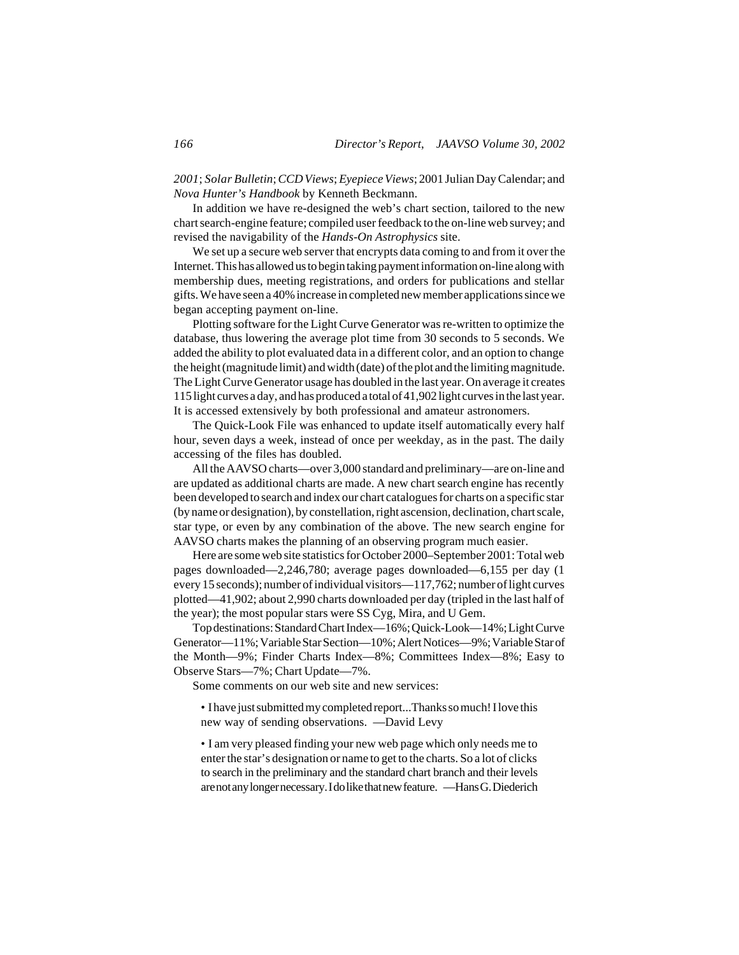*2001*; *Solar Bulletin*; *CCD Views*; *Eyepiece Views*; 2001 Julian Day Calendar; and *Nova Hunter's Handbook* by Kenneth Beckmann.

In addition we have re-designed the web's chart section, tailored to the new chart search-engine feature; compiled user feedback to the on-line web survey; and revised the navigability of the *Hands-On Astrophysics* site.

We set up a secure web server that encrypts data coming to and from it over the Internet. This has allowed us to begin taking payment information on-line along with membership dues, meeting registrations, and orders for publications and stellar gifts. We have seen a 40% increase in completed new member applications since we began accepting payment on-line.

Plotting software for the Light Curve Generator was re-written to optimize the database, thus lowering the average plot time from 30 seconds to 5 seconds. We added the ability to plot evaluated data in a different color, and an option to change the height (magnitude limit) and width (date) of the plot and the limiting magnitude. The Light Curve Generator usage has doubled in the last year. On average it creates 115 light curves a day, and has produced a total of 41,902 light curves in the last year. It is accessed extensively by both professional and amateur astronomers.

The Quick-Look File was enhanced to update itself automatically every half hour, seven days a week, instead of once per weekday, as in the past. The daily accessing of the files has doubled.

All the AAVSO charts—over 3,000 standard and preliminary—are on-line and are updated as additional charts are made. A new chart search engine has recently been developed to search and index our chart catalogues for charts on a specific star (by name or designation), by constellation, right ascension, declination, chart scale, star type, or even by any combination of the above. The new search engine for AAVSO charts makes the planning of an observing program much easier.

Here are some web site statistics for October 2000–September 2001: Total web pages downloaded—2,246,780; average pages downloaded—6,155 per day (1 every 15 seconds); number of individual visitors—117,762; number of light curves plotted—41,902; about 2,990 charts downloaded per day (tripled in the last half of the year); the most popular stars were SS Cyg, Mira, and U Gem.

Top destinations: Standard Chart Index—16%; Quick-Look—14%; Light Curve Generator—11%; Variable Star Section—10%; Alert Notices—9%; Variable Star of the Month—9%; Finder Charts Index—8%; Committees Index—8%; Easy to Observe Stars—7%; Chart Update—7%.

Some comments on our web site and new services:

• I have just submitted my completed report...Thanks so much! I love this new way of sending observations. —David Levy

• I am very pleased finding your new web page which only needs me to enter the star's designation or name to get to the charts. So a lot of clicks to search in the preliminary and the standard chart branch and their levels are not any longer necessary. I do like that new feature. —Hans G. Diederich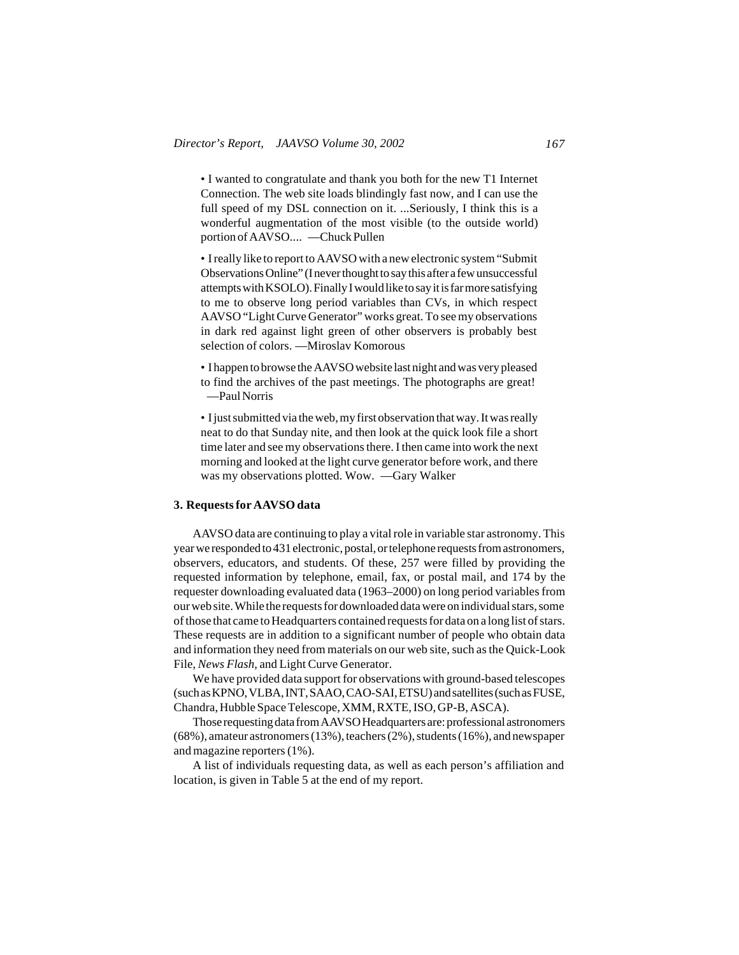• I wanted to congratulate and thank you both for the new T1 Internet Connection. The web site loads blindingly fast now, and I can use the full speed of my DSL connection on it. ...Seriously, I think this is a wonderful augmentation of the most visible (to the outside world) portion of AAVSO.... —Chuck Pullen

• I really like to report to AAVSO with a new electronic system "Submit Observations Online" (I never thought to say this after a few unsuccessful attempts with KSOLO). Finally I would like to say it is far more satisfying to me to observe long period variables than CVs, in which respect AAVSO "Light Curve Generator" works great. To see my observations in dark red against light green of other observers is probably best selection of colors. —Miroslav Komorous

• I happen to browse the AAVSO website last night and was very pleased to find the archives of the past meetings. The photographs are great! —Paul Norris

• I just submitted via the web, my first observation that way. It was really neat to do that Sunday nite, and then look at the quick look file a short time later and see my observations there. I then came into work the next morning and looked at the light curve generator before work, and there was my observations plotted. Wow. —Gary Walker

#### **3. Requests for AAVSO data**

AAVSO data are continuing to play a vital role in variable star astronomy. This year we responded to 431 electronic, postal, or telephone requests from astronomers, observers, educators, and students. Of these, 257 were filled by providing the requested information by telephone, email, fax, or postal mail, and 174 by the requester downloading evaluated data (1963–2000) on long period variables from our web site. While the requests for downloaded data were on individual stars, some of those that came to Headquarters contained requests for data on a long list of stars. These requests are in addition to a significant number of people who obtain data and information they need from materials on our web site, such as the Quick-Look File, *News Flash*, and Light Curve Generator.

We have provided data support for observations with ground-based telescopes (such as KPNO, VLBA, INT, SAAO, CAO-SAI, ETSU) and satellites (such as FUSE, Chandra, Hubble Space Telescope, XMM, RXTE, ISO, GP-B, ASCA).

Those requesting data from AAVSO Headquarters are: professional astronomers (68%), amateur astronomers (13%), teachers (2%), students (16%), and newspaper and magazine reporters (1%).

A list of individuals requesting data, as well as each person's affiliation and location, is given in Table 5 at the end of my report.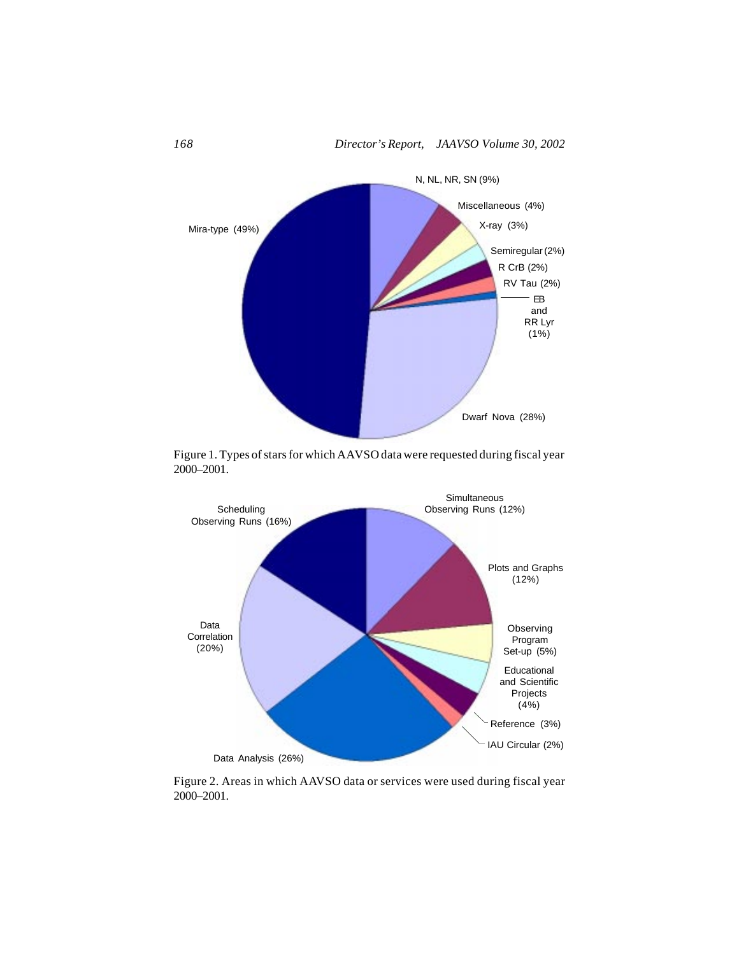

Figure 1. Types of stars for which AAVSO data were requested during fiscal year 2000–2001.



Figure 2. Areas in which AAVSO data or services were used during fiscal year 2000–2001.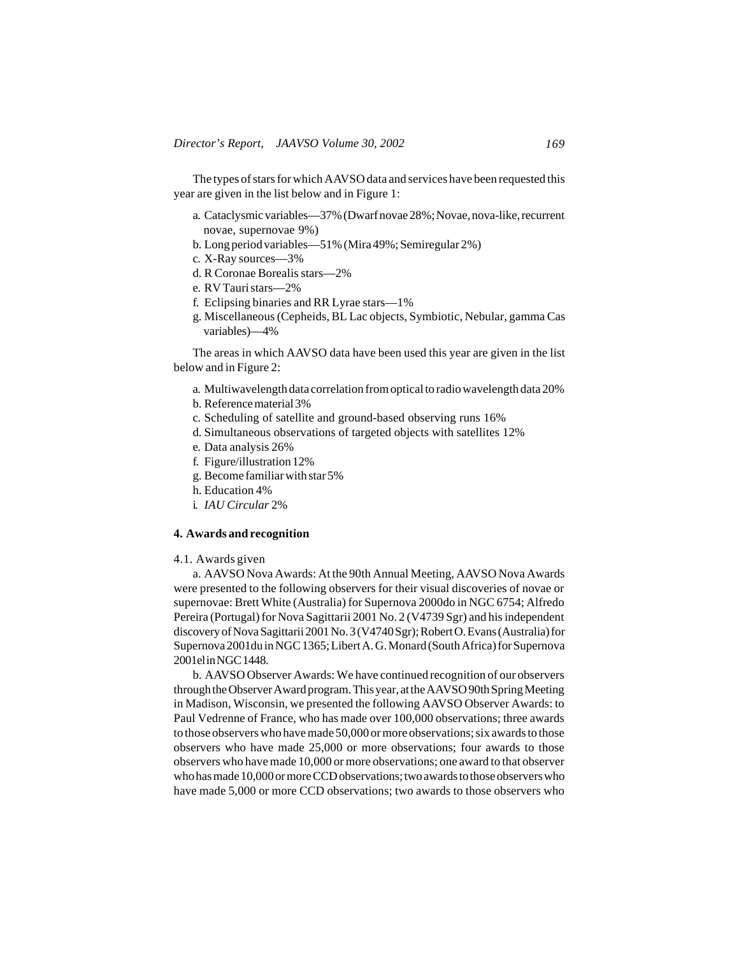The types of stars for which AAVSO data and services have been requested this year are given in the list below and in Figure 1:

- a. Cataclysmic variables—37% (Dwarf novae 28%; Novae, nova-like, recurrent novae, supernovae 9%)
- b. Long period variables—51% (Mira 49%; Semiregular 2%)
- c. X-Ray sources—3%
- d. R Coronae Borealis stars—2%
- e. RV Tauri stars—2%
- f. Eclipsing binaries and RR Lyrae stars—1%
- g. Miscellaneous (Cepheids, BL Lac objects, Symbiotic, Nebular, gamma Cas variables)—4%

The areas in which AAVSO data have been used this year are given in the list below and in Figure 2:

- a. Multiwavelength data correlation from optical to radio wavelength data 20%
- b. Reference material 3%
- c. Scheduling of satellite and ground-based observing runs 16%
- d. Simultaneous observations of targeted objects with satellites 12%
- e. Data analysis 26%
- f. Figure/illustration 12%
- g. Become familiar with star 5%
- h. Education 4%
- i. *IAU Circular* 2%

#### **4. Awards and recognition**

#### 4.1. Awards given

a. AAVSO Nova Awards: At the 90th Annual Meeting, AAVSO Nova Awards were presented to the following observers for their visual discoveries of novae or supernovae: Brett White (Australia) for Supernova 2000do in NGC 6754; Alfredo Pereira (Portugal) for Nova Sagittarii 2001 No. 2 (V4739 Sgr) and his independent discovery of Nova Sagittarii 2001 No. 3 (V4740 Sgr); Robert O. Evans (Australia) for Supernova 2001du in NGC 1365; Libert A. G. Monard (South Africa) for Supernova 2001el in NGC 1448.

b. AAVSO Observer Awards: We have continued recognition of our observers through the Observer Award program. This year, at the AAVSO 90th Spring Meeting in Madison, Wisconsin, we presented the following AAVSO Observer Awards: to Paul Vedrenne of France, who has made over 100,000 observations; three awards to those observers who have made 50,000 or more observations; six awards to those observers who have made 25,000 or more observations; four awards to those observers who have made 10,000 or more observations; one award to that observer who has made 10,000 or more CCD observations; two awards to those observers who have made 5,000 or more CCD observations; two awards to those observers who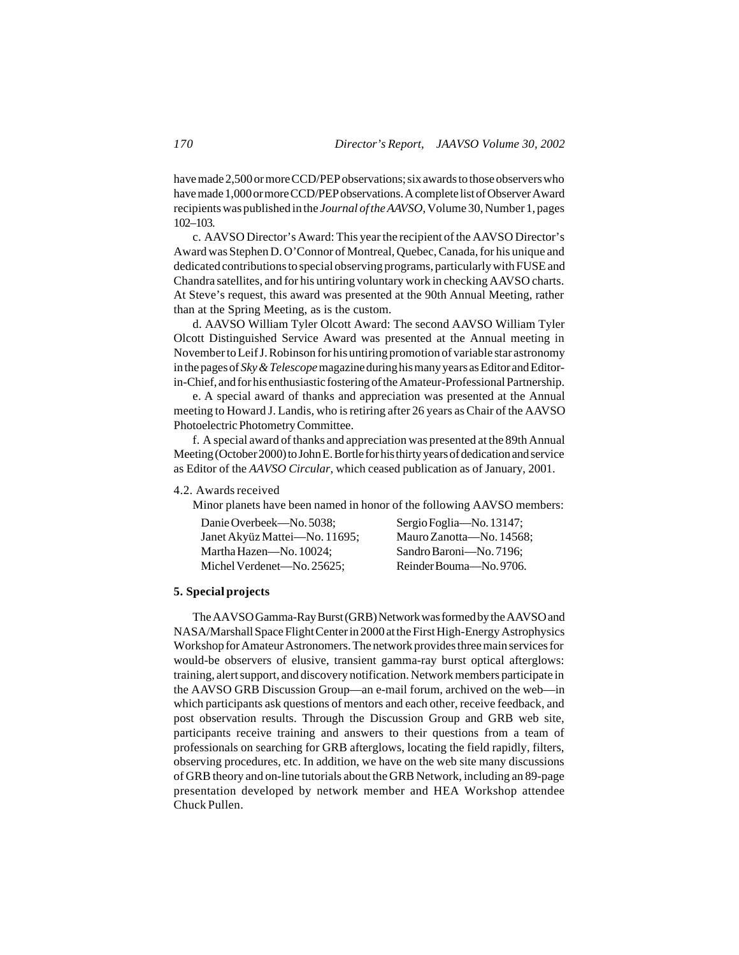have made 2,500 or more CCD/PEP observations; six awards to those observers who have made 1,000 or more CCD/PEP observations. A complete list of Observer Award recipients was published in the *Journal of the AAVSO*, Volume 30, Number 1, pages 102–103.

c. AAVSO Director's Award: This year the recipient of the AAVSO Director's Award was Stephen D. O'Connor of Montreal, Quebec, Canada, for his unique and dedicated contributions to special observing programs, particularly with FUSE and Chandra satellites, and for his untiring voluntary work in checking AAVSO charts. At Steve's request, this award was presented at the 90th Annual Meeting, rather than at the Spring Meeting, as is the custom.

d. AAVSO William Tyler Olcott Award: The second AAVSO William Tyler Olcott Distinguished Service Award was presented at the Annual meeting in November to Leif J. Robinson for his untiring promotion of variable star astronomy in the pages of *Sky & Telescope* magazine during his many years as Editor and Editorin-Chief, and for his enthusiastic fostering of the Amateur-Professional Partnership.

e. A special award of thanks and appreciation was presented at the Annual meeting to Howard J. Landis, who is retiring after 26 years as Chair of the AAVSO Photoelectric Photometry Committee.

f. A special award of thanks and appreciation was presented at the 89th Annual Meeting (October 2000) to John E. Bortle for his thirty years of dedication and service as Editor of the *AAVSO Circular*, which ceased publication as of January, 2001.

## 4.2. Awards received

Minor planets have been named in honor of the following AAVSO members:

| Danie Overbeek—No. 5038:      | Sergio Foglia-No. 13147; |
|-------------------------------|--------------------------|
| Janet Akyüz Mattei—No. 11695; | Mauro Zanotta—No. 14568: |
| Martha Hazen—No. 10024:       | Sandro Baroni—No. 7196;  |
| Michel Verdenet—No. 25625:    | Reinder Bouma-No. 9706.  |

## **5. Special projects**

The AAVSO Gamma-Ray Burst (GRB) Network was formed by the AAVSO and NASA/Marshall Space Flight Center in 2000 at the First High-Energy Astrophysics Workshop for Amateur Astronomers. The network provides three main services for would-be observers of elusive, transient gamma-ray burst optical afterglows: training, alert support, and discovery notification. Network members participate in the AAVSO GRB Discussion Group—an e-mail forum, archived on the web—in which participants ask questions of mentors and each other, receive feedback, and post observation results. Through the Discussion Group and GRB web site, participants receive training and answers to their questions from a team of professionals on searching for GRB afterglows, locating the field rapidly, filters, observing procedures, etc. In addition, we have on the web site many discussions of GRB theory and on-line tutorials about the GRB Network, including an 89-page presentation developed by network member and HEA Workshop attendee Chuck Pullen.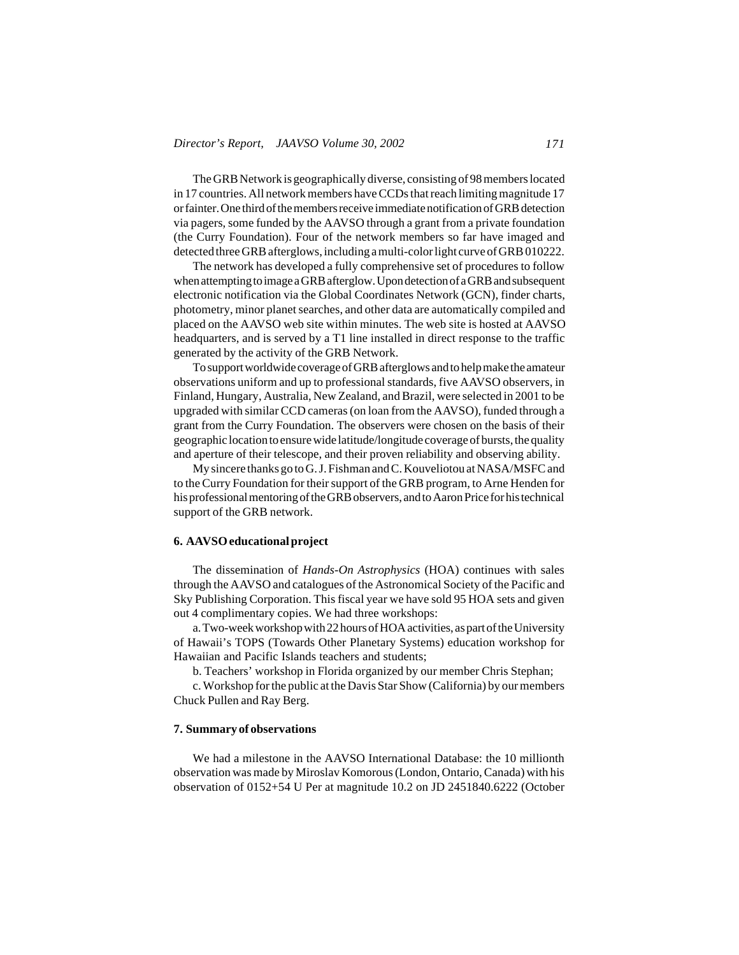The GRB Network is geographically diverse, consisting of 98 members located in 17 countries. All network members have CCDs that reach limiting magnitude 17 or fainter. One third of the members receive immediate notification of GRB detection via pagers, some funded by the AAVSO through a grant from a private foundation (the Curry Foundation). Four of the network members so far have imaged and detected three GRB afterglows, including a multi-color light curve of GRB 010222.

The network has developed a fully comprehensive set of procedures to follow when attempting to image a GRB afterglow. Upon detection of a GRB and subsequent electronic notification via the Global Coordinates Network (GCN), finder charts, photometry, minor planet searches, and other data are automatically compiled and placed on the AAVSO web site within minutes. The web site is hosted at AAVSO headquarters, and is served by a T1 line installed in direct response to the traffic generated by the activity of the GRB Network.

To support worldwide coverage of GRB afterglows and to help make the amateur observations uniform and up to professional standards, five AAVSO observers, in Finland, Hungary, Australia, New Zealand, and Brazil, were selected in 2001 to be upgraded with similar CCD cameras (on loan from the AAVSO), funded through a grant from the Curry Foundation. The observers were chosen on the basis of their geographic location to ensure wide latitude/longitude coverage of bursts, the quality and aperture of their telescope, and their proven reliability and observing ability.

My sincere thanks go to G. J. Fishman and C. Kouveliotou at NASA/MSFC and to the Curry Foundation for their support of the GRB program, to Arne Henden for his professional mentoring of the GRB observers, and to Aaron Price for his technical support of the GRB network.

## **6. AAVSO educational project**

The dissemination of *Hands-On Astrophysics* (HOA) continues with sales through the AAVSO and catalogues of the Astronomical Society of the Pacific and Sky Publishing Corporation. This fiscal year we have sold 95 HOA sets and given out 4 complimentary copies. We had three workshops:

a. Two-week workshop with 22 hours of HOA activities, as part of the University of Hawaii's TOPS (Towards Other Planetary Systems) education workshop for Hawaiian and Pacific Islands teachers and students;

b. Teachers' workshop in Florida organized by our member Chris Stephan;

c. Workshop for the public at the Davis Star Show (California) by our members Chuck Pullen and Ray Berg.

#### **7. Summary of observations**

We had a milestone in the AAVSO International Database: the 10 millionth observation was made by Miroslav Komorous (London, Ontario, Canada) with his observation of 0152+54 U Per at magnitude 10.2 on JD 2451840.6222 (October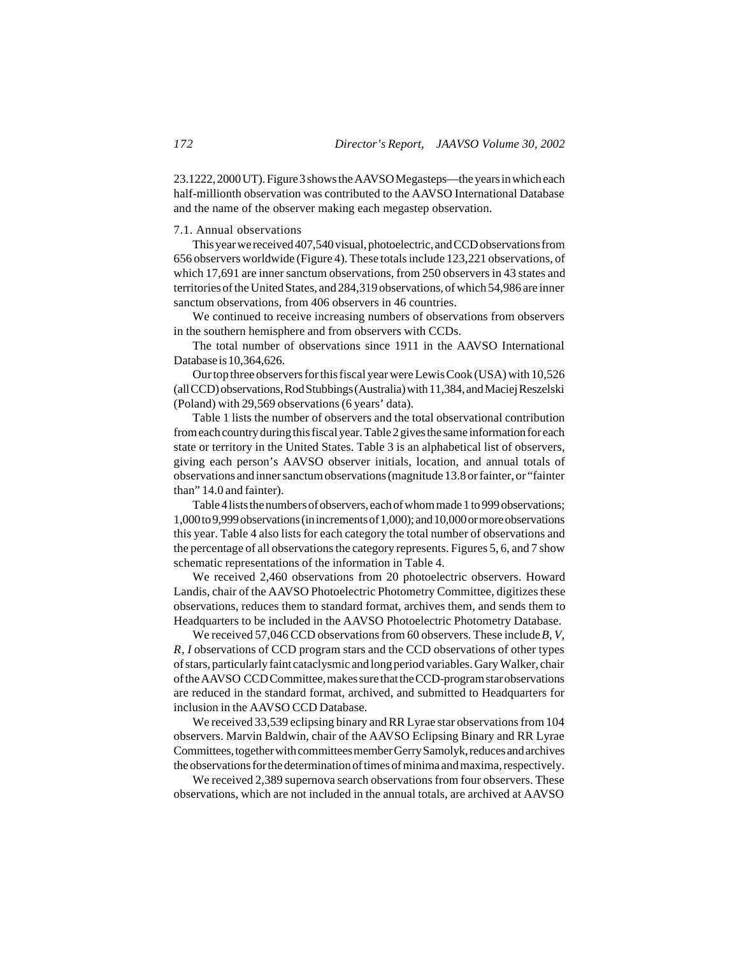23.1222, 2000 UT). Figure 3 shows the AAVSO Megasteps—the years in which each half-millionth observation was contributed to the AAVSO International Database and the name of the observer making each megastep observation.

## 7.1. Annual observations

This year we received 407,540 visual, photoelectric, and CCD observations from 656 observers worldwide (Figure 4). These totals include 123,221 observations, of which 17,691 are inner sanctum observations, from 250 observers in 43 states and territories of the United States, and 284,319 observations, of which 54,986 are inner sanctum observations, from 406 observers in 46 countries.

We continued to receive increasing numbers of observations from observers in the southern hemisphere and from observers with CCDs.

The total number of observations since 1911 in the AAVSO International Database is 10,364,626.

Our top three observers for this fiscal year were Lewis Cook (USA) with 10,526 (all CCD) observations, Rod Stubbings (Australia) with 11,384, and Maciej Reszelski (Poland) with 29,569 observations (6 years' data).

Table 1 lists the number of observers and the total observational contribution from each country during this fiscal year. Table 2 gives the same information for each state or territory in the United States. Table 3 is an alphabetical list of observers, giving each person's AAVSO observer initials, location, and annual totals of observations and inner sanctum observations (magnitude 13.8 or fainter, or "fainter than" 14.0 and fainter).

Table 4 lists the numbers of observers, each of whom made 1 to 999 observations; 1,000 to 9,999 observations (in increments of 1,000); and 10,000 or more observations this year. Table 4 also lists for each category the total number of observations and the percentage of all observations the category represents. Figures 5, 6, and 7 show schematic representations of the information in Table 4.

We received 2,460 observations from 20 photoelectric observers. Howard Landis, chair of the AAVSO Photoelectric Photometry Committee, digitizes these observations, reduces them to standard format, archives them, and sends them to Headquarters to be included in the AAVSO Photoelectric Photometry Database.

We received 57,046 CCD observations from 60 observers. These include *B, V, R, I* observations of CCD program stars and the CCD observations of other types of stars, particularly faint cataclysmic and long period variables. Gary Walker, chair of the AAVSO CCD Committee, makes sure that the CCD-program star observations are reduced in the standard format, archived, and submitted to Headquarters for inclusion in the AAVSO CCD Database.

We received 33,539 eclipsing binary and RR Lyrae star observations from 104 observers. Marvin Baldwin, chair of the AAVSO Eclipsing Binary and RR Lyrae Committees, together with committees member Gerry Samolyk, reduces and archives the observations for the determination of times of minima and maxima, respectively.

We received 2,389 supernova search observations from four observers. These observations, which are not included in the annual totals, are archived at AAVSO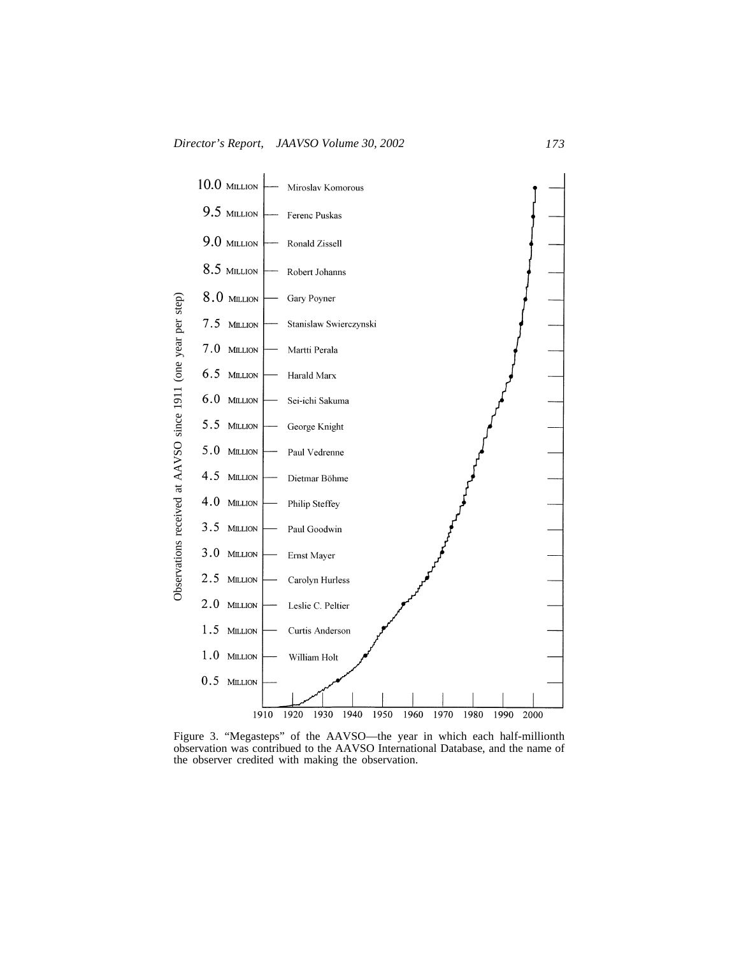

Figure 3. "Megasteps" of the AAVSO—the year in which each half-millionth observation was contribued to the AAVSO International Database, and the name of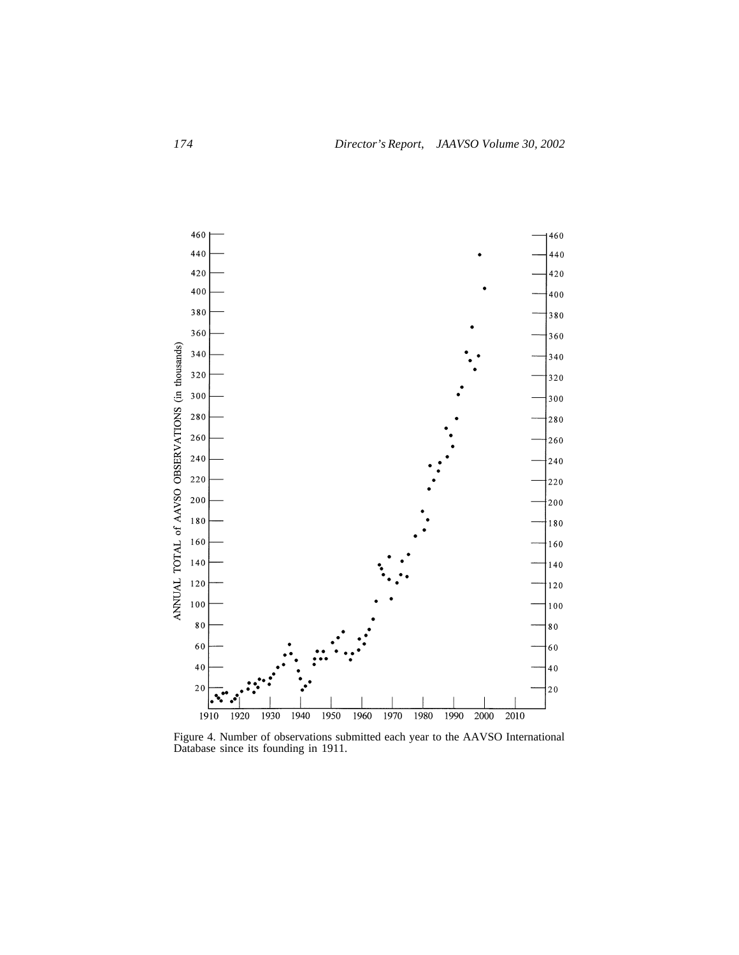

Figure 4. Number of observations submitted each year to the AAVSO International Database since its founding in 1911.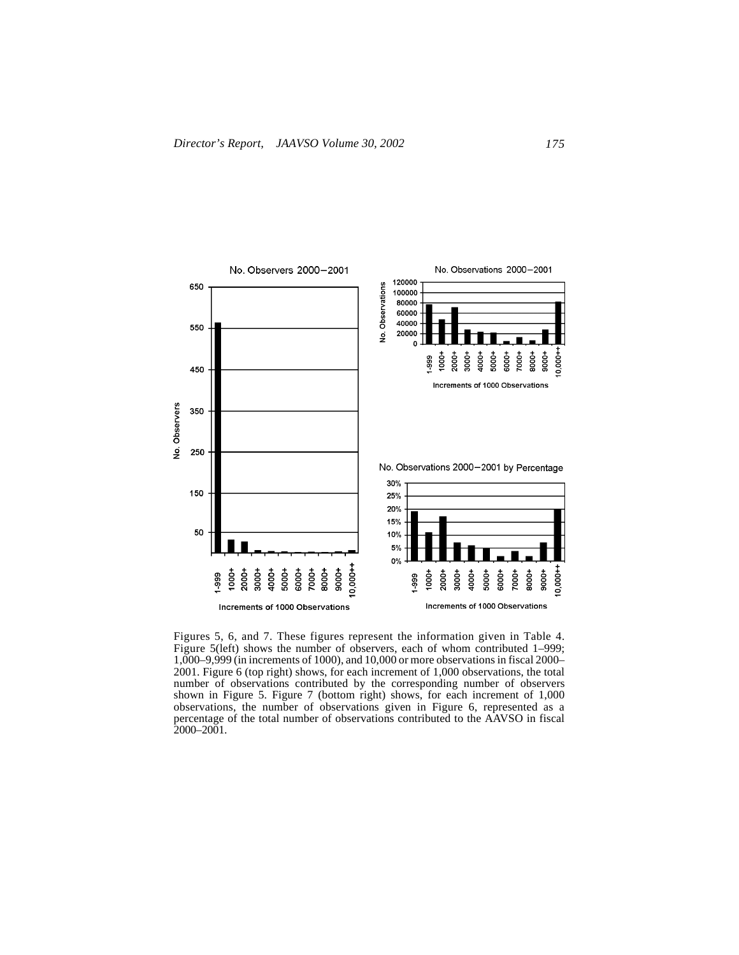

Figures 5, 6, and 7. These figures represent the information given in Table 4. Figure 5(left) shows the number of observers, each of whom contributed 1–999; 1,000–9,999 (in increments of 1000), and 10,000 or more observations in fiscal 2000– 2001. Figure 6 (top right) shows, for each increment of 1,000 observations, the total number of observations contributed by the corresponding number of observers shown in Figure 5. Figure 7 (bottom right) shows, for each increment of 1,000 observations, the number of observations given in Figure 6, represented as a percentage of the total number of observations contributed to the AAVSO in fiscal 2000–2001.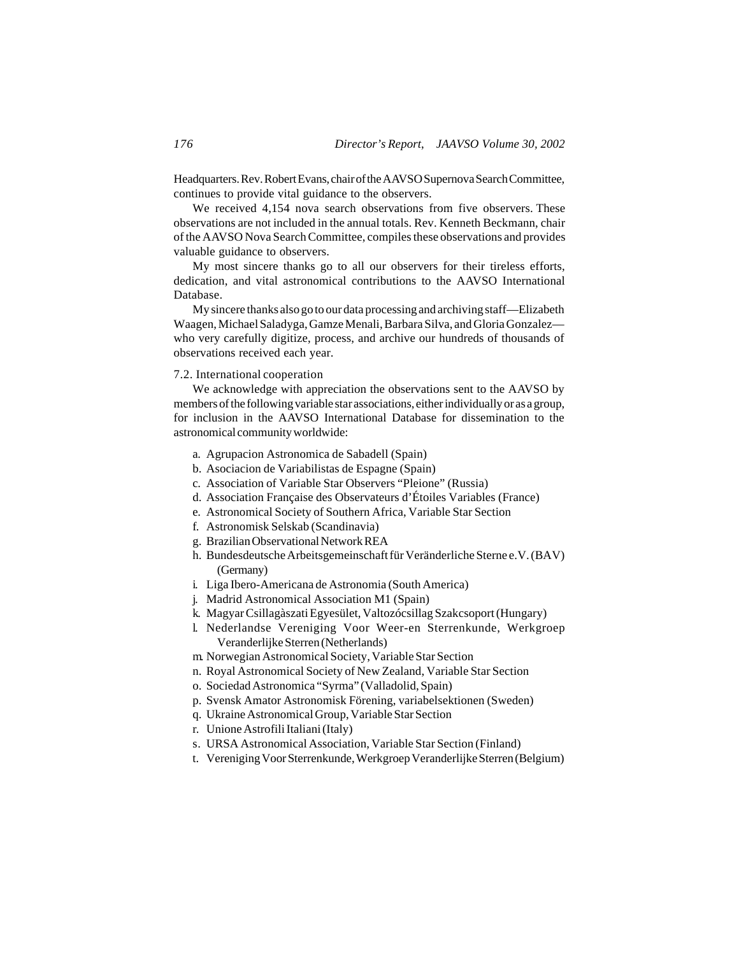Headquarters. Rev. Robert Evans, chair of the AAVSO Supernova Search Committee, continues to provide vital guidance to the observers.

We received 4,154 nova search observations from five observers. These observations are not included in the annual totals. Rev. Kenneth Beckmann, chair of the AAVSO Nova Search Committee, compiles these observations and provides valuable guidance to observers.

My most sincere thanks go to all our observers for their tireless efforts, dedication, and vital astronomical contributions to the AAVSO International Database.

My sincere thanks also go to our data processing and archiving staff—Elizabeth Waagen, Michael Saladyga, Gamze Menali, Barbara Silva, and Gloria Gonzalez who very carefully digitize, process, and archive our hundreds of thousands of observations received each year.

#### 7.2. International cooperation

We acknowledge with appreciation the observations sent to the AAVSO by members of the following variable star associations, either individually or as a group, for inclusion in the AAVSO International Database for dissemination to the astronomical community worldwide:

- a. Agrupacion Astronomica de Sabadell (Spain)
- b. Asociacion de Variabilistas de Espagne (Spain)
- c. Association of Variable Star Observers "Pleione" (Russia)
- d. Association Française des Observateurs d'Étoiles Variables (France)
- e. Astronomical Society of Southern Africa, Variable Star Section
- f. Astronomisk Selskab (Scandinavia)
- g. Brazilian Observational Network REA
- h. Bundesdeutsche Arbeitsgemeinschaft für Veränderliche Sterne e.V. (BAV) (Germany)
- i. Liga Ibero-Americana de Astronomia (South America)
- j. Madrid Astronomical Association M1 (Spain)
- k. Magyar Csillagàszati Egyesület, Valtozócsillag Szakcsoport (Hungary)
- l. Nederlandse Vereniging Voor Weer-en Sterrenkunde, Werkgroep Veranderlijke Sterren (Netherlands)
- m. Norwegian Astronomical Society, Variable Star Section
- n. Royal Astronomical Society of New Zealand, Variable Star Section
- o. Sociedad Astronomica "Syrma" (Valladolid, Spain)
- p. Svensk Amator Astronomisk Förening, variabelsektionen (Sweden)
- q. Ukraine Astronomical Group, Variable Star Section
- r. Unione Astrofili Italiani (Italy)
- s. URSA Astronomical Association, Variable Star Section (Finland)
- t. Vereniging Voor Sterrenkunde, Werkgroep Veranderlijke Sterren (Belgium)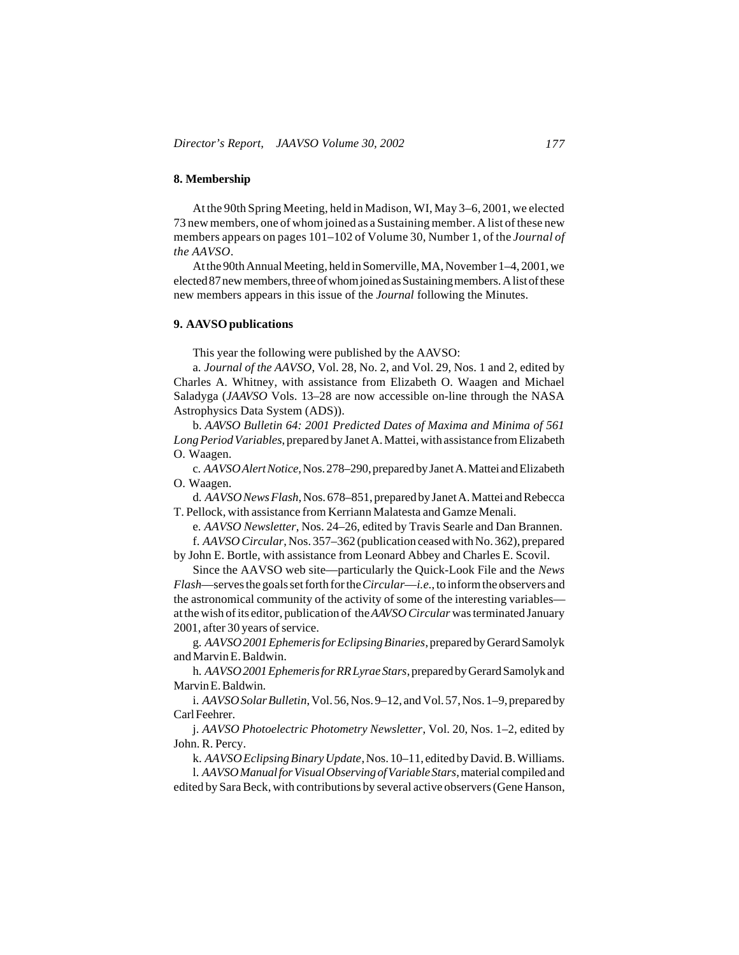## **8. Membership**

At the 90th Spring Meeting, held in Madison, WI, May 3–6, 2001, we elected 73 new members, one of whom joined as a Sustaining member. A list of these new members appears on pages 101–102 of Volume 30, Number 1, of the *Journal of the AAVSO*.

At the 90th Annual Meeting, held in Somerville, MA, November 1–4, 2001, we elected 87 new members, three of whom joined as Sustaining members. A list of these new members appears in this issue of the *Journal* following the Minutes.

## **9. AAVSO publications**

This year the following were published by the AAVSO:

a. *Journal of the AAVSO*, Vol. 28, No. 2, and Vol. 29, Nos. 1 and 2, edited by Charles A. Whitney, with assistance from Elizabeth O. Waagen and Michael Saladyga (*JAAVSO* Vols. 13–28 are now accessible on-line through the NASA Astrophysics Data System (ADS)).

b. *AAVSO Bulletin 64: 2001 Predicted Dates of Maxima and Minima of 561 Long Period Variables*, prepared by Janet A. Mattei, with assistance from Elizabeth O. Waagen.

c. *AAVSO Alert Notice*, Nos. 278–290, prepared by Janet A. Mattei and Elizabeth O. Waagen.

d. *AAVSO News Flash*, Nos. 678–851, prepared by Janet A. Mattei and Rebecca T. Pellock, with assistance from Kerriann Malatesta and Gamze Menali.

e. *AAVSO Newsletter*, Nos. 24–26, edited by Travis Searle and Dan Brannen. f. *AAVSO Circular*, Nos. 357–362 (publication ceased with No. 362), prepared

by John E. Bortle, with assistance from Leonard Abbey and Charles E. Scovil. Since the AAVSO web site—particularly the Quick-Look File and the *News*

*Flash*—serves the goals set forth for the *Circular*—*i.e.*, to inform the observers and the astronomical community of the activity of some of the interesting variables at the wish of its editor, publication of the *AAVSO Circular* was terminated January 2001, after 30 years of service.

g. *AAVSO 2001 Ephemeris for Eclipsing Binaries*, prepared by Gerard Samolyk and Marvin E. Baldwin.

h. *AAVSO 2001 Ephemeris for RR Lyrae Stars*, prepared by Gerard Samolyk and Marvin E. Baldwin.

i. *AAVSO Solar Bulletin*, Vol. 56, Nos. 9–12, and Vol. 57, Nos. 1–9, prepared by Carl Feehrer.

j. *AAVSO Photoelectric Photometry Newsletter*, Vol. 20, Nos. 1–2, edited by John. R. Percy.

k. *AAVSO Eclipsing Binary Update*, Nos. 10–11, edited by David. B. Williams.

l. *AAVSO Manual for Visual Observing of Variable Stars*, material compiled and edited by Sara Beck, with contributions by several active observers (Gene Hanson,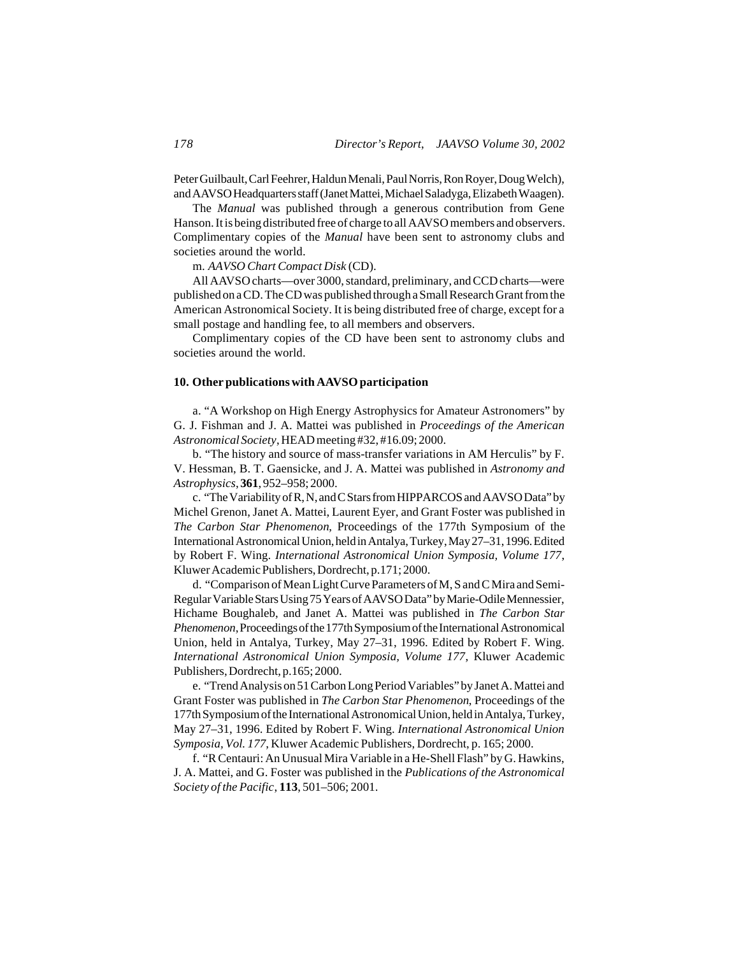Peter Guilbault, Carl Feehrer, Haldun Menali, Paul Norris, Ron Royer, Doug Welch), and AAVSO Headquarters staff (Janet Mattei, Michael Saladyga, Elizabeth Waagen).

The *Manual* was published through a generous contribution from Gene Hanson. It is being distributed free of charge to all AAVSO members and observers. Complimentary copies of the *Manual* have been sent to astronomy clubs and societies around the world.

m. *AAVSO Chart Compact Disk* (CD).

All AAVSO charts—over 3000, standard, preliminary, and CCD charts—were published on a CD. The CD was published through a Small Research Grant from the American Astronomical Society. It is being distributed free of charge, except for a small postage and handling fee, to all members and observers.

Complimentary copies of the CD have been sent to astronomy clubs and societies around the world.

## **10. Other publications with AAVSO participation**

a. "A Workshop on High Energy Astrophysics for Amateur Astronomers" by G. J. Fishman and J. A. Mattei was published in *Proceedings of the American Astronomical Society*, HEAD meeting #32, #16.09; 2000.

b. "The history and source of mass-transfer variations in AM Herculis" by F. V. Hessman, B. T. Gaensicke, and J. A. Mattei was published in *Astronomy and Astrophysics*, **361**, 952–958; 2000.

c. "The Variability of R, N, and C Stars from HIPPARCOS and AAVSO Data" by Michel Grenon, Janet A. Mattei, Laurent Eyer, and Grant Foster was published in *The Carbon Star Phenomenon*, Proceedings of the 177th Symposium of the International Astronomical Union, held in Antalya, Turkey, May 27–31, 1996. Edited by Robert F. Wing. *International Astronomical Union Symposia, Volume 177*, Kluwer Academic Publishers, Dordrecht, p.171; 2000.

d. "Comparison of Mean Light Curve Parameters of M, S and C Mira and Semi-Regular Variable Stars Using 75 Years of AAVSO Data" by Marie-Odile Mennessier, Hichame Boughaleb, and Janet A. Mattei was published in *The Carbon Star Phenomenon*, Proceedings of the 177th Symposium of the International Astronomical Union, held in Antalya, Turkey, May 27–31, 1996. Edited by Robert F. Wing. *International Astronomical Union Symposia, Volume 177*, Kluwer Academic Publishers, Dordrecht, p.165; 2000.

e. "Trend Analysis on 51 Carbon Long Period Variables" by Janet A. Mattei and Grant Foster was published in *The Carbon Star Phenomenon*, Proceedings of the 177th Symposium of the International Astronomical Union, held in Antalya, Turkey, May 27–31, 1996. Edited by Robert F. Wing. *International Astronomical Union Symposia, Vol. 177*, Kluwer Academic Publishers, Dordrecht, p. 165; 2000.

f. "R Centauri: An Unusual Mira Variable in a He-Shell Flash" by G. Hawkins, J. A. Mattei, and G. Foster was published in the *Publications of the Astronomical Society of the Pacific*, **113**, 501–506; 2001.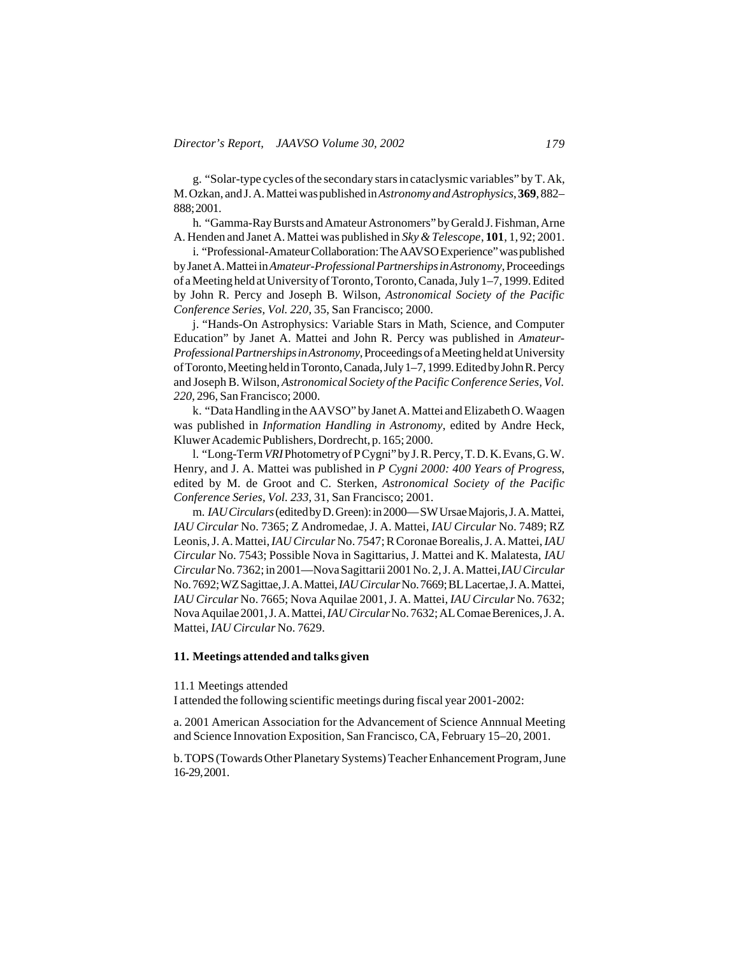g. "Solar-type cycles of the secondary stars in cataclysmic variables" by T. Ak, M. Ozkan, and J. A. Mattei was published in *Astronomy and Astrophysics*, **369**, 882– 888; 2001.

h. "Gamma-Ray Bursts and Amateur Astronomers" by Gerald J. Fishman, Arne A. Henden and Janet A. Mattei was published in *Sky & Telescope*, **101**, 1, 92; 2001.

i. "Professional-Amateur Collaboration: The AAVSO Experience" was published by Janet A. Mattei in *Amateur-Professional Partnerships in Astronomy*, Proceedings of a Meeting held at University of Toronto, Toronto, Canada, July 1–7, 1999. Edited by John R. Percy and Joseph B. Wilson, *Astronomical Society of the Pacific Conference Series, Vol. 220*, 35, San Francisco; 2000.

j. "Hands-On Astrophysics: Variable Stars in Math, Science, and Computer Education" by Janet A. Mattei and John R. Percy was published in *Amateur-Professional Partnerships in Astronomy*, Proceedings of a Meeting held at University of Toronto, Meeting held in Toronto, Canada, July 1–7, 1999. Edited by John R. Percy and Joseph B. Wilson, *Astronomical Society of the Pacific Conference Series, Vol. 220*, 296, San Francisco; 2000.

k. "Data Handling in the AAVSO" by Janet A. Mattei and Elizabeth O. Waagen was published in *Information Handling in Astronomy*, edited by Andre Heck, Kluwer Academic Publishers, Dordrecht, p. 165; 2000.

l. "Long-Term *VRI* Photometry of P Cygni" by J. R. Percy, T. D. K. Evans, G. W. Henry, and J. A. Mattei was published in *P Cygni 2000: 400 Years of Progress*, edited by M. de Groot and C. Sterken, *Astronomical Society of the Pacific Conference Series, Vol. 233*, 31, San Francisco; 2001.

m. *IAU Circulars* (edited by D. Green): in 2000— SW Ursae Majoris, J. A. Mattei, *IAU Circular* No. 7365; Z Andromedae, J. A. Mattei, *IAU Circular* No. 7489; RZ Leonis, J. A. Mattei, *IAU Circular* No. 7547; R Coronae Borealis, J. A. Mattei, *IAU Circular* No. 7543; Possible Nova in Sagittarius, J. Mattei and K. Malatesta, *IAU Circular* No. 7362; in 2001—Nova Sagittarii 2001 No. 2, J. A. Mattei, *IAU Circular* No. 7692; WZ Sagittae, J. A. Mattei, *IAU Circular* No. 7669; BL Lacertae, J. A. Mattei, *IAU Circular* No. 7665; Nova Aquilae 2001, J. A. Mattei, *IAU Circular* No. 7632; Nova Aquilae 2001, J. A. Mattei, *IAU Circular* No. 7632; AL Comae Berenices, J. A. Mattei, *IAU Circular* No. 7629.

## **11. Meetings attended and talks given**

#### 11.1 Meetings attended

I attended the following scientific meetings during fiscal year 2001-2002:

a. 2001 American Association for the Advancement of Science Annnual Meeting and Science Innovation Exposition, San Francisco, CA, February 15–20, 2001.

b. TOPS (Towards Other Planetary Systems) Teacher Enhancement Program, June 16-29, 2001.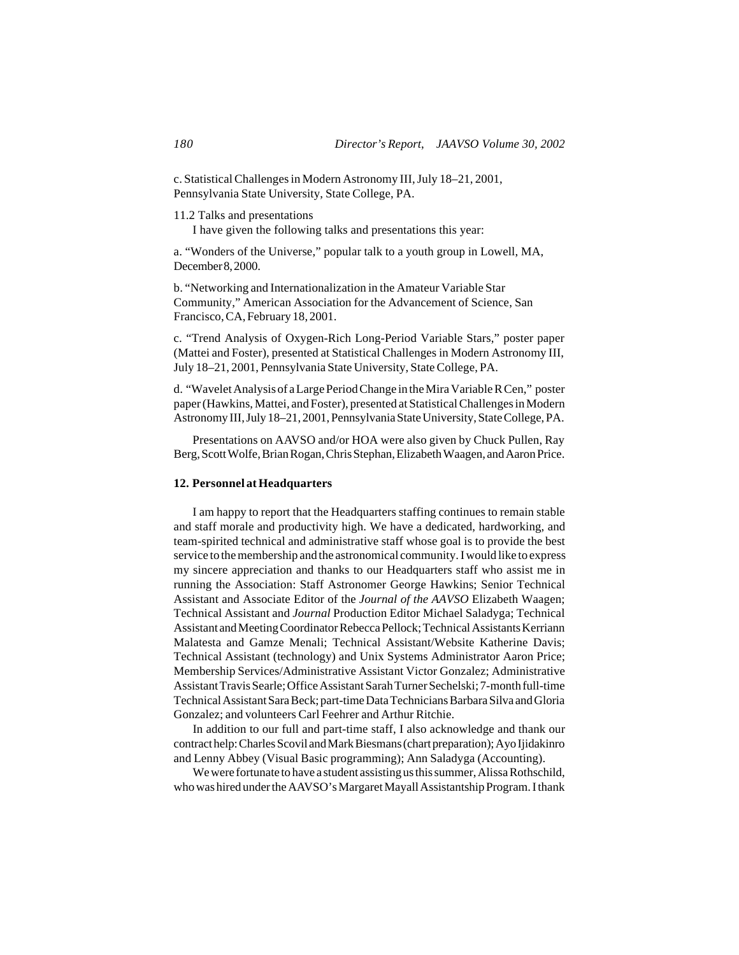c. Statistical Challenges in Modern Astronomy III, July 18–21, 2001, Pennsylvania State University, State College, PA.

11.2 Talks and presentations

I have given the following talks and presentations this year:

a. "Wonders of the Universe," popular talk to a youth group in Lowell, MA, December 8, 2000.

b. "Networking and Internationalization in the Amateur Variable Star Community," American Association for the Advancement of Science, San Francisco, CA, February 18, 2001.

c. "Trend Analysis of Oxygen-Rich Long-Period Variable Stars," poster paper (Mattei and Foster), presented at Statistical Challenges in Modern Astronomy III, July 18–21, 2001, Pennsylvania State University, State College, PA.

d. "Wavelet Analysis of a Large Period Change in the Mira Variable R Cen," poster paper (Hawkins, Mattei, and Foster), presented at Statistical Challenges in Modern Astronomy III, July 18–21, 2001, Pennsylvania State University, State College, PA.

Presentations on AAVSO and/or HOA were also given by Chuck Pullen, Ray Berg, Scott Wolfe, Brian Rogan, Chris Stephan, Elizabeth Waagen, and Aaron Price.

## **12. Personnel at Headquarters**

I am happy to report that the Headquarters staffing continues to remain stable and staff morale and productivity high. We have a dedicated, hardworking, and team-spirited technical and administrative staff whose goal is to provide the best service to the membership and the astronomical community. I would like to express my sincere appreciation and thanks to our Headquarters staff who assist me in running the Association: Staff Astronomer George Hawkins; Senior Technical Assistant and Associate Editor of the *Journal of the AAVSO* Elizabeth Waagen; Technical Assistant and *Journal* Production Editor Michael Saladyga; Technical Assistant and Meeting Coordinator Rebecca Pellock; Technical Assistants Kerriann Malatesta and Gamze Menali; Technical Assistant/Website Katherine Davis; Technical Assistant (technology) and Unix Systems Administrator Aaron Price; Membership Services/Administrative Assistant Victor Gonzalez; Administrative Assistant Travis Searle; Office Assistant Sarah Turner Sechelski; 7-month full-time Technical Assistant Sara Beck; part-time Data Technicians Barbara Silva and Gloria Gonzalez; and volunteers Carl Feehrer and Arthur Ritchie.

In addition to our full and part-time staff, I also acknowledge and thank our contract help: Charles Scovil and Mark Biesmans (chart preparation); Ayo Ijidakinro and Lenny Abbey (Visual Basic programming); Ann Saladyga (Accounting).

We were fortunate to have a student assisting us this summer, Alissa Rothschild, who was hired under the AAVSO's Margaret Mayall Assistantship Program. I thank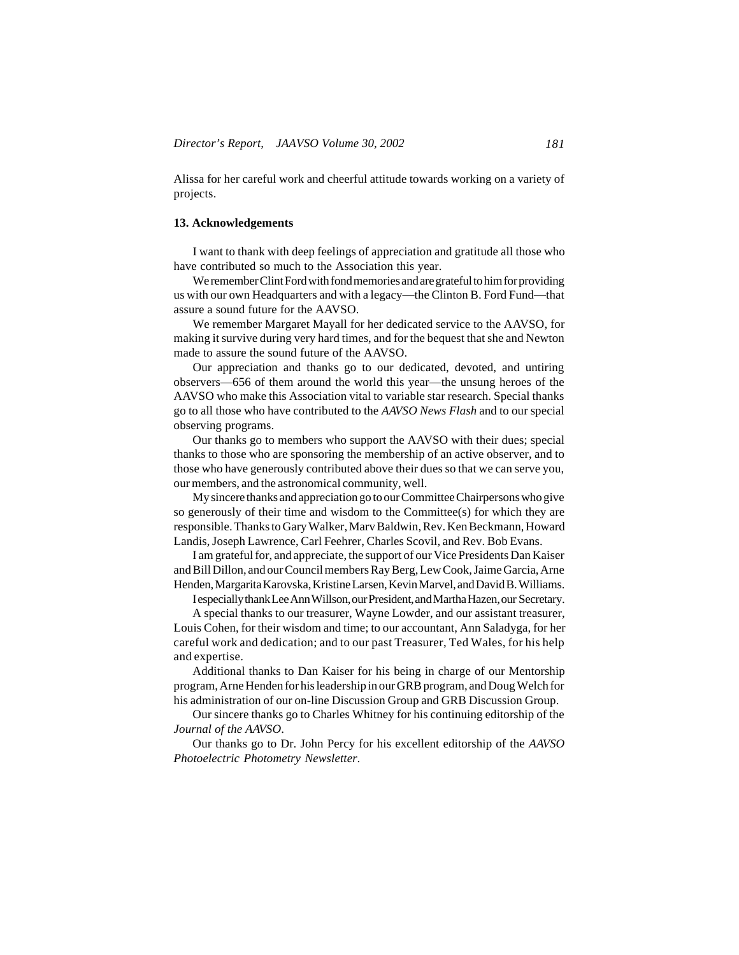Alissa for her careful work and cheerful attitude towards working on a variety of projects.

#### **13. Acknowledgements**

I want to thank with deep feelings of appreciation and gratitude all those who have contributed so much to the Association this year.

We remember Clint Ford with fond memories and are grateful to him for providing us with our own Headquarters and with a legacy—the Clinton B. Ford Fund—that assure a sound future for the AAVSO.

We remember Margaret Mayall for her dedicated service to the AAVSO, for making it survive during very hard times, and for the bequest that she and Newton made to assure the sound future of the AAVSO.

Our appreciation and thanks go to our dedicated, devoted, and untiring observers—656 of them around the world this year—the unsung heroes of the AAVSO who make this Association vital to variable star research. Special thanks go to all those who have contributed to the *AAVSO News Flash* and to our special observing programs.

Our thanks go to members who support the AAVSO with their dues; special thanks to those who are sponsoring the membership of an active observer, and to those who have generously contributed above their dues so that we can serve you, our members, and the astronomical community, well.

My sincere thanks and appreciation go to our Committee Chairpersons who give so generously of their time and wisdom to the Committee(s) for which they are responsible. Thanks to Gary Walker, Marv Baldwin, Rev. Ken Beckmann, Howard Landis, Joseph Lawrence, Carl Feehrer, Charles Scovil, and Rev. Bob Evans.

I am grateful for, and appreciate, the support of our Vice Presidents Dan Kaiser and Bill Dillon, and our Council members Ray Berg, Lew Cook, Jaime Garcia, Arne Henden, Margarita Karovska, Kristine Larsen, Kevin Marvel, and David B. Williams.

I especially thank Lee Ann Willson, our President, and Martha Hazen, our Secretary.

A special thanks to our treasurer, Wayne Lowder, and our assistant treasurer, Louis Cohen, for their wisdom and time; to our accountant, Ann Saladyga, for her careful work and dedication; and to our past Treasurer, Ted Wales, for his help and expertise.

Additional thanks to Dan Kaiser for his being in charge of our Mentorship program, Arne Henden for his leadership in our GRB program, and Doug Welch for his administration of our on-line Discussion Group and GRB Discussion Group.

Our sincere thanks go to Charles Whitney for his continuing editorship of the *Journal of the AAVSO*.

Our thanks go to Dr. John Percy for his excellent editorship of the *AAVSO Photoelectric Photometry Newsletter*.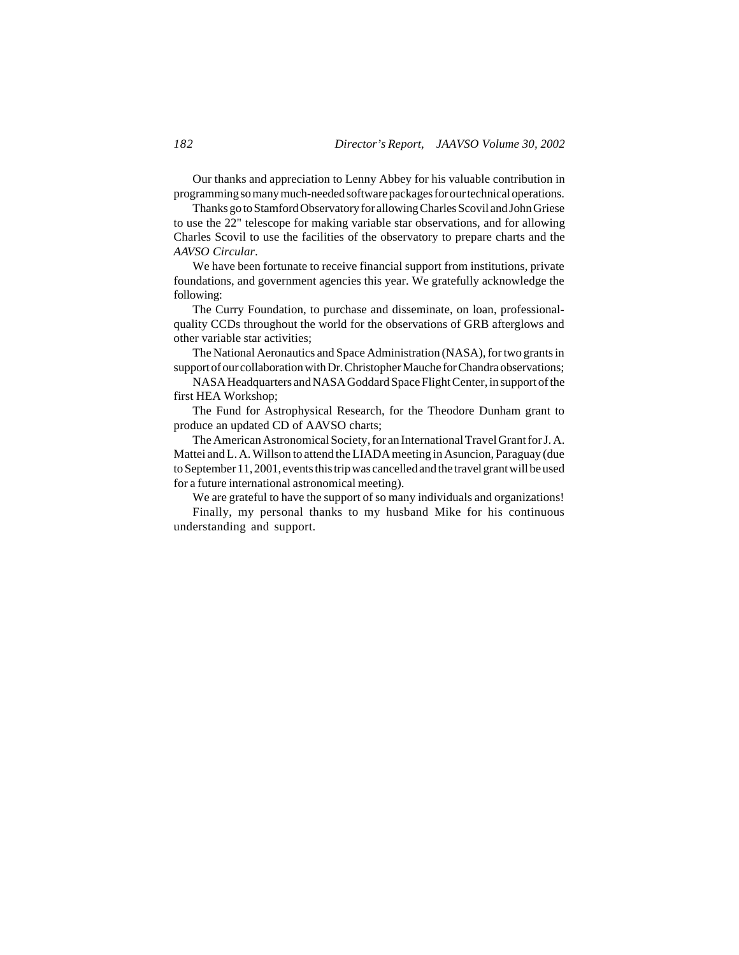Our thanks and appreciation to Lenny Abbey for his valuable contribution in programming so many much-needed software packages for our technical operations.

Thanks go to Stamford Observatory for allowing Charles Scovil and John Griese to use the 22" telescope for making variable star observations, and for allowing Charles Scovil to use the facilities of the observatory to prepare charts and the *AAVSO Circular*.

We have been fortunate to receive financial support from institutions, private foundations, and government agencies this year. We gratefully acknowledge the following:

The Curry Foundation, to purchase and disseminate, on loan, professionalquality CCDs throughout the world for the observations of GRB afterglows and other variable star activities;

The National Aeronautics and Space Administration (NASA), for two grants in support of our collaboration with Dr. Christopher Mauche for Chandra observations;

NASA Headquarters and NASA Goddard Space Flight Center, in support of the first HEA Workshop;

The Fund for Astrophysical Research, for the Theodore Dunham grant to produce an updated CD of AAVSO charts;

The American Astronomical Society, for an International Travel Grant for J. A. Mattei and L. A. Willson to attend the LIADA meeting in Asuncion, Paraguay (due to September 11, 2001, events this trip was cancelled and the travel grant will be used for a future international astronomical meeting).

We are grateful to have the support of so many individuals and organizations!

Finally, my personal thanks to my husband Mike for his continuous understanding and support.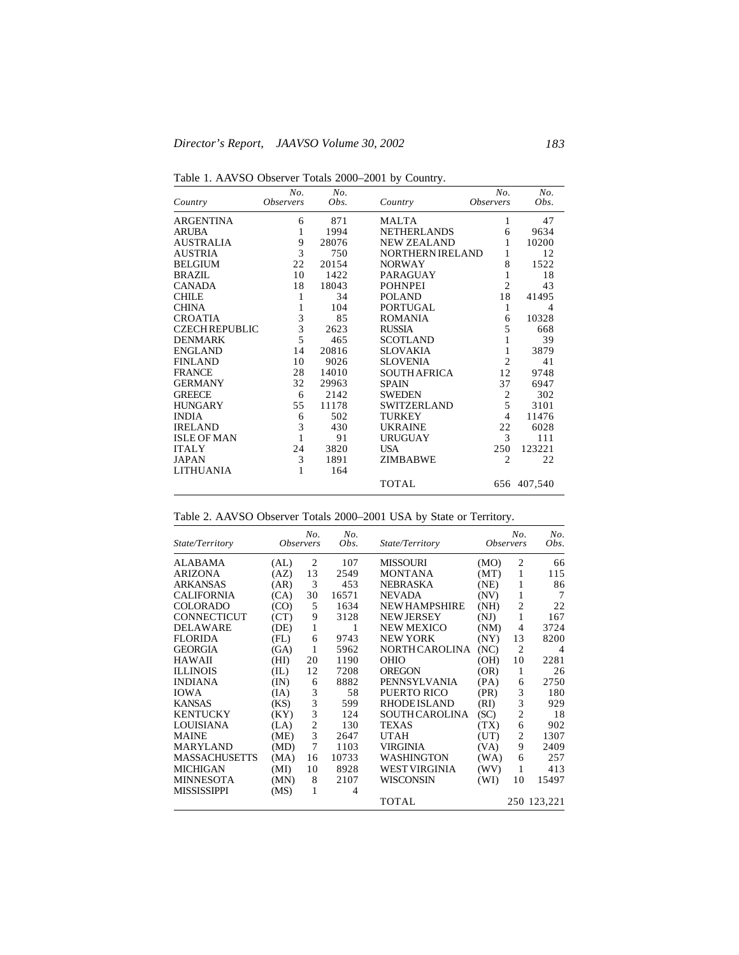Table 1. AAVSO Observer Totals 2000–2001 by Country.

| Country               | No.<br><i><b>Observers</b></i> | No.<br>Obs. | Country                 | No.<br><i><b>Observers</b></i> | No.<br>Obs. |
|-----------------------|--------------------------------|-------------|-------------------------|--------------------------------|-------------|
| <b>ARGENTINA</b>      | 6                              | 871         | MALTA                   | 1                              | 47          |
| <b>ARUBA</b>          | 1                              | 1994        | <b>NETHERLANDS</b>      | 6                              | 9634        |
| <b>AUSTRALIA</b>      | 9                              | 28076       | <b>NEW ZEALAND</b>      | 1                              | 10200       |
| <b>AUSTRIA</b>        | $\overline{3}$                 | 750         | <b>NORTHERN IRELAND</b> | 1                              | 12          |
| <b>BELGIUM</b>        | 22                             | 20154       | <b>NORWAY</b>           | 8                              | 1522        |
| BRAZIL                | 10                             | 1422        | <b>PARAGUAY</b>         | 1                              | 18          |
| <b>CANADA</b>         | 18                             | 18043       | <b>POHNPEI</b>          | $\overline{c}$                 | 43          |
| <b>CHILE</b>          | 1                              | 34          | <b>POLAND</b>           | 18                             | 41495       |
| <b>CHINA</b>          | $\mathbf{1}$                   | 104         | <b>PORTUGAL</b>         | 1                              | 4           |
| <b>CROATIA</b>        | $\frac{3}{3}$                  | 85          | <b>ROMANIA</b>          | 6                              | 10328       |
| <b>CZECH REPUBLIC</b> |                                | 2623        | <b>RUSSIA</b>           | 5                              | 668         |
| <b>DENMARK</b>        | 5                              | 465         | <b>SCOTLAND</b>         | 1                              | 39          |
| <b>ENGLAND</b>        | 14                             | 20816       | <b>SLOVAKIA</b>         | 1                              | 3879        |
| <b>FINLAND</b>        | 10                             | 9026        | <b>SLOVENIA</b>         | $\overline{c}$                 | 41          |
| <b>FRANCE</b>         | 28                             | 14010       | <b>SOUTH AFRICA</b>     | 12                             | 9748        |
| <b>GERMANY</b>        | 32                             | 29963       | <b>SPAIN</b>            | 37                             | 6947        |
| <b>GREECE</b>         | 6                              | 2142        | <b>SWEDEN</b>           | 2                              | 302         |
| <b>HUNGARY</b>        | 55                             | 11178       | <b>SWITZERLAND</b>      | 5                              | 3101        |
| <b>INDIA</b>          | 6                              | 502         | <b>TURKEY</b>           | $\overline{4}$                 | 11476       |
| <b>IRELAND</b>        | 3                              | 430         | <b>UKRAINE</b>          | 22                             | 6028        |
| <b>ISLE OF MAN</b>    | $\mathbf{1}$                   | 91          | <b>URUGUAY</b>          | 3                              | 111         |
| <b>ITALY</b>          | 24                             | 3820        | USA                     | 250                            | 123221      |
| <b>JAPAN</b>          | 3                              | 1891        | ZIMBABWE                | $\overline{c}$                 | 22          |
| <b>LITHUANIA</b>      | 1                              | 164         |                         |                                |             |
|                       |                                |             | <b>TOTAL</b>            |                                | 656 407,540 |

| State/Territory      | <i><b>Observers</b></i> | No.            | No.<br>Obs. | State/Territory       |      | No.<br><i><b>Observers</b></i> | No.<br>Obs.    |
|----------------------|-------------------------|----------------|-------------|-----------------------|------|--------------------------------|----------------|
| ALABAMA              | (AL)                    | 2              | 107         | <b>MISSOURI</b>       | (MO) | $\overline{2}$                 | 66             |
| <b>ARIZONA</b>       | (AZ)                    | 13             | 2549        | <b>MONTANA</b>        | (MT) | 1                              | 115            |
| <b>ARKANSAS</b>      | (AR)                    | 3              | 453         | NEBRASKA              | (NE) | 1                              | 86             |
| <b>CALIFORNIA</b>    | (CA)                    | 30             | 16571       | <b>NEVADA</b>         | (NV) | 1                              | 7              |
| <b>COLORADO</b>      | (CO)                    | 5              | 1634        | <b>NEW HAMPSHIRE</b>  | (NH) | $\overline{c}$                 | 22             |
| <b>CONNECTICUT</b>   | (CT)                    | 9              | 3128        | <b>NEW JERSEY</b>     | (NJ) | 1                              | 167            |
| <b>DELAWARE</b>      | (DE)                    | 1              | 1           | <b>NEW MEXICO</b>     | (NM) | 4                              | 3724           |
| <b>FLORIDA</b>       | (FL)                    | 6              | 9743        | <b>NEW YORK</b>       | (NY) | 13                             | 8200           |
| <b>GEORGIA</b>       | (GA)                    | 1              | 5962        | NORTH CAROLINA        | (NC) | $\overline{c}$                 | $\overline{4}$ |
| <b>HAWAII</b>        | (HI)                    | 20             | 1190        | <b>OHIO</b>           | (OH) | 10                             | 2281           |
| <b>ILLINOIS</b>      | (IL)                    | 12             | 7208        | OREGON                | (OR) | 1                              | 26             |
| <b>INDIANA</b>       | (IN)                    | 6              | 8882        | PENNSYLVANIA          | (PA) | 6                              | 2750           |
| <b>IOWA</b>          | (IA)                    | 3              | 58          | PUERTO RICO           | (PR) | 3                              | 180            |
| <b>KANSAS</b>        | (KS)                    | 3              | 599         | <b>RHODE ISLAND</b>   | (RI) | 3                              | 929            |
| <b>KENTUCKY</b>      | (KY)                    | 3              | 124         | <b>SOUTH CAROLINA</b> | (SC) | 2                              | 18             |
| LOUISIANA            | (LA)                    | $\overline{c}$ | 130         | TEXAS                 | (TX) | 6                              | 902            |
| <b>MAINE</b>         | (ME)                    | 3              | 2647        | UTAH                  | (UT) | 2                              | 1307           |
| <b>MARYLAND</b>      | (MD)                    | 7              | 1103        | <b>VIRGINIA</b>       | (VA) | 9                              | 2409           |
| <b>MASSACHUSETTS</b> | (MA)                    | 16             | 10733       | WASHINGTON            | (WA) | 6                              | 257            |
| <b>MICHIGAN</b>      | (MI)                    | 10             | 8928        | WEST VIRGINIA         | (WV) | 1                              | 413            |
| <b>MINNESOTA</b>     | (MN)                    | 8              | 2107        | WISCONSIN             | (WI) | 10                             | 15497          |
| <b>MISSISSIPPI</b>   | (MS)                    | 1              | 4           |                       |      |                                |                |
|                      |                         |                |             | TOTAL                 |      |                                | 250 123,221    |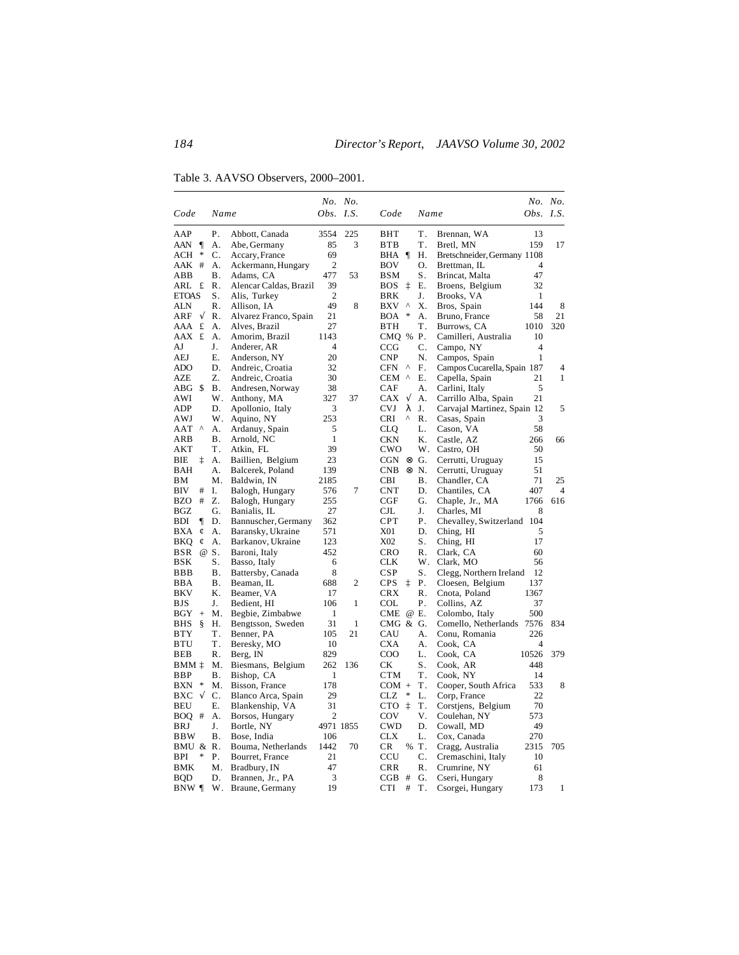Table 3. AAVSO Observers, 2000–2001.

|                              |            |                                 |                | No. No.      |                   |                           |                                | No. No.        |              |
|------------------------------|------------|---------------------------------|----------------|--------------|-------------------|---------------------------|--------------------------------|----------------|--------------|
| Code                         | Name       |                                 | Obs. I.S.      |              | Code              | Name                      |                                | Obs. $I.S.$    |              |
| AAP                          | Ρ.         | Abbott, Canada                  | 3554           | 225          | BHT               | T.                        | Brennan, WA                    | 13             |              |
| $\mathbf{I}$<br>AAN          | А.         | Abe, Germany                    | 85             | 3            | BTB               | T.                        | Bretl, MN                      | 159            | 17           |
| ∗<br>ACH                     | C.         | Accary, France                  | 69             |              | BHA ¶             | Н.                        | Bretschneider, Germany 1108    |                |              |
| AAK<br>#                     | А.         | Ackermann, Hungary              | $\overline{c}$ |              | BOV               | О.                        | Brettman, IL                   | 4              |              |
| ABB                          | В.         | Adams, CA                       | 477            | 53           | BSM               | S.                        | Brincat, Malta                 | 47             |              |
| ARL £                        | R.         | Alencar Caldas, Brazil          | 39             |              | BOS               | Е.                        | Broens, Belgium                | 32             |              |
| <b>ETOAS</b>                 | S.         | Alis, Turkey                    | $\overline{2}$ |              | BRK               | J.                        | Brooks, VA                     | 1              |              |
| ALN                          | R.         | Allison, IA                     | 49             | 8            | BXV<br>$\wedge$   | Χ.                        | Bros, Spain                    | 144            | 8            |
| ARF<br>$\sqrt{}$             | R.         | Alvarez Franco, Spain           | 21             |              | BOA               | А.                        | Bruno, France                  | 58             | 21           |
| £<br>AAA                     | А.         | Alves, Brazil                   | 27             |              | BTH               | <b>T</b> .                | Burrows, CA                    | 1010           | 320          |
| AAX £                        | А.         | Amorim, Brazil                  | 1143           |              | CMQ % P.          |                           | Camilleri, Australia           | 10             |              |
| AJ                           | J.         | Anderer, AR                     | $\overline{4}$ |              | $_{\rm CCG}$      | C.                        | Campo, NY                      | $\overline{4}$ |              |
| AEJ                          | Е.         | Anderson, NY                    | 20             |              | <b>CNP</b>        | N.                        | Campos, Spain                  | 1              |              |
| <b>ADO</b>                   | D.         | Andreic, Croatia                | 32             |              | $\wedge$<br>CFN   | F.                        | Campos Cucarella, Spain 187    |                | 4            |
| <b>AZE</b>                   | Z.         | Andreic, Croatia                | 30             |              | CEM ^             | Ε.                        | Capella, Spain                 | 21             | 1            |
| $ABG$ \$                     | <b>B</b> . | Andresen, Norway                | 38             |              | CAF               | А.                        | Carlini, Italy                 | 5              |              |
| AWI                          | W.         | Anthony, MA                     | 327            | 37           | $\sqrt{ }$<br>CAX | $\mathsf{A}$ .            | Carrillo Alba, Spain           | 21             |              |
| ADP                          | D.         | Apollonio, Italy                | 3              |              | λ<br>CVJ          | J.                        | Carvajal Martinez, Spain 12    |                | 5            |
| AWJ                          | W.         | Aquino, NY                      | 253            |              | CRI<br>٨          | R.                        | Casas, Spain                   | 3              |              |
| $\boldsymbol{\wedge}$<br>AAT | А.         | Ardanuy, Spain                  | 5              |              | CLQ               | L.                        | Cason, VA                      | 58             |              |
| ARB                          | Β.         | Arnold, NC                      | 1              |              | CKN               | K.                        | Castle, AZ                     | 266            | 66           |
| AKT                          | Τ.         | Atkin, FL                       | 39             |              | CWO               | W.                        | Castro, OH                     | 50             |              |
| ţ<br>ВIЕ                     | А.         | Baillien, Belgium               | 23             |              | $CGN$ $\otimes$   | G.                        | Cerrutti, Uruguay              | 15             |              |
| BAH                          | А.         | Balcerek, Poland                | 139            |              | <b>CNB</b>        | $\otimes$ N.<br><b>B.</b> | Cerrutti, Uruguay              | 51             |              |
| BМ<br>BIV                    | М.<br>I.   | Baldwin, IN                     | 2185<br>576    | 7            | CBI<br>CNT        | D.                        | Chandler, CA                   | 71<br>407      | 25<br>4      |
| #<br>$^{\#}$<br>BZO          | Z.         | Balogh, Hungary                 | 255            |              | CGF               | G.                        | Chantiles, CA                  | 1766           | 616          |
| BGZ                          | G.         | Balogh, Hungary<br>Banialis, IL | 27             |              | CJL               | J.                        | Chaple, Jr., MA<br>Charles, MI | 8              |              |
| ¶<br>BDI                     | D.         | Bannuscher, Germany             | 362            |              | CPT               | Ρ.                        | Chevalley, Switzerland 104     |                |              |
| BXA<br>¢                     | А.         | Baransky, Ukraine               | 571            |              | X01               | D.                        | Ching, HI                      | 5              |              |
| BKQ<br>¢                     | А.         | Barkanov, Ukraine               | 123            |              | X02               | ${\bf S}$ .               | Ching, HI                      | 17             |              |
| BSR                          | @ S.       | Baroni, Italy                   | 452            |              | CRO               | R.                        | Clark, CA                      | 60             |              |
| BSK                          | S.         | Basso, Italy                    | 6              |              | CLK               | W.                        | Clark, MO                      | 56             |              |
| BBB                          | Β.         | Battersby, Canada               | 8              |              | CSP               | S.                        | Clegg, Northern Ireland        | 12             |              |
| BBA                          | Β.         | Beaman, IL                      | 688            | 2            | <b>CPS</b><br>İ   | Ρ.                        | Cloesen, Belgium               | 137            |              |
| BKV                          | Κ.         | Beamer, VA                      | 17             |              | CRX               | R.                        | Cnota, Poland                  | 1367           |              |
| BJS                          | J.         | Bedient, HI                     | 106            | $\mathbf{1}$ | COL               | Ρ.                        | Collins, AZ                    | 37             |              |
| BGY<br>$\! + \!\!\!\!$       | М.         | Begbie, Zimbabwe                | 1              |              | CME               | @ E.                      | Colombo, Italy                 | 500            |              |
| BHS<br>ş                     | Н.         | Bengtsson, Sweden               | 31             | 1            | CMG & G.          |                           | Comello, Netherlands 7576      |                | 834          |
| <b>BTY</b>                   | Τ.         | Benner, PA                      | 105            | 21           | CAU               | А.                        | Conu, Romania                  | 226            |              |
| <b>BTU</b>                   | T.         | Beresky, MO                     | 10             |              | <b>CXA</b>        | А.                        | Cook, CA                       | 4              |              |
| BEB                          | R.         | Berg, IN                        | 829            |              | COO               | L.                        | Cook, CA                       | 10526          | 379          |
| BMM ‡                        | Μ.         | Biesmans, Belgium               | 262            | 136          | СK                | S.                        | Cook, AR                       | 448            |              |
| BBP                          | Β.         | Bishop, CA                      | 1              |              | CTM               | Τ.                        | Cook, NY                       | 14             |              |
| $\ast$<br>BXN                | Μ.         | Bisson, France                  | 178            |              | COM +             | Τ.                        | Cooper, South Africa           | 533            | 8            |
| $\sqrt{}$<br>BXC             | C.         | Blanco Arca, Spain              | 29             |              | <b>CLZ</b><br>*   | L.                        | Corp, France                   | 22             |              |
| BEU                          | Е.         | Blankenship, VA                 | 31             |              | İ<br>CTO          | Τ.                        | Corstjens, Belgium             | 70             |              |
| BOO #                        | А.         | Borsos, Hungary                 | $\overline{c}$ |              | COV               | V.                        | Coulehan, NY                   | 573            |              |
| BRJ                          | J.         | Bortle, NY                      | 4971 1855      |              | CWD               | D.                        | Cowall, MD                     | 49             |              |
| BBW                          | Β.         | Bose, India                     | 106            |              | CLX               | L.                        | Cox, Canada                    | 270            |              |
| BMU & R.                     |            | Bouma, Netherlands              | 1442           | 70           | CR<br>$\%$        | T.                        | Cragg, Australia               | 2315           | 705          |
| BPI<br>*                     | Ρ.         | Bourret, France                 | 21             |              | CCU               | ${\bf C}$ .               | Cremaschini, Italy             | 10             |              |
| BMK                          | Μ.         | Bradbury, IN                    | 47             |              | CRR               | R.                        | Crumrine, NY                   | 61             |              |
| <b>BQD</b>                   | D.         | Brannen, Jr., PA                | 3              |              | $_{\rm CGB}$<br># | G.                        | Cseri, Hungary                 | 8              |              |
| BNW ¶                        | W.         | Braune, Germany                 | 19             |              | CTI<br>#          | Τ.                        | Csorgei, Hungary               | 173            | $\mathbf{1}$ |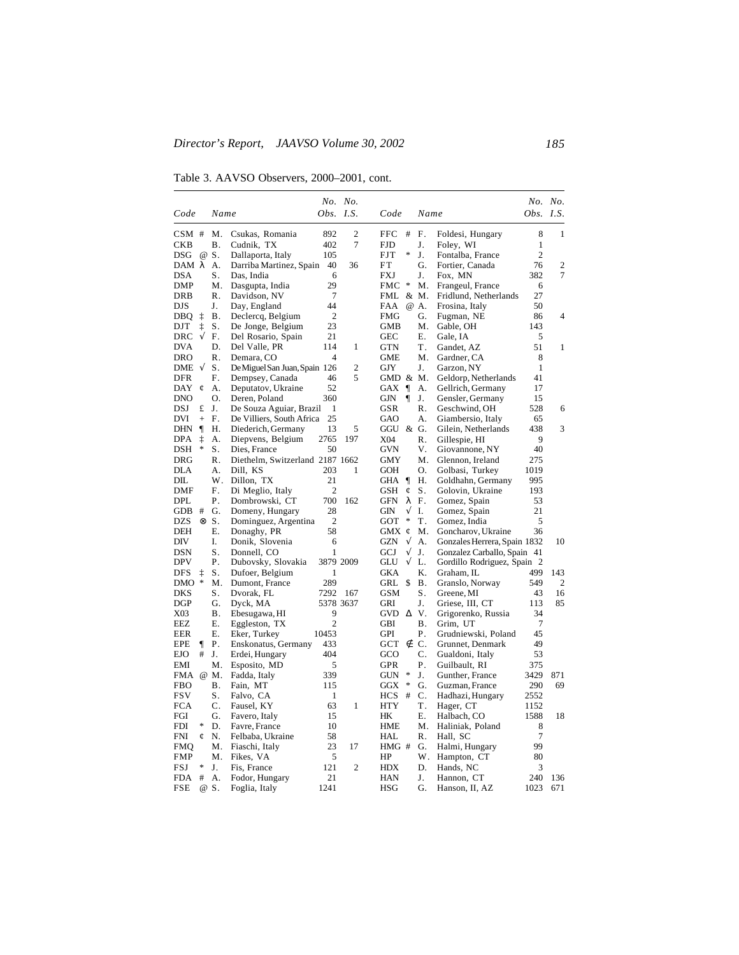Table 3. AAVSO Observers, 2000–2001, cont.

|                          |           |                     |                                 |                      | No. No.          |                   |                |                |                                    | No. No.        |                |
|--------------------------|-----------|---------------------|---------------------------------|----------------------|------------------|-------------------|----------------|----------------|------------------------------------|----------------|----------------|
| Code                     |           | Name                |                                 |                      | Obs. I.S.        | Code              |                | Name           |                                    | Obs. I.S.      |                |
| CSM#                     |           | M.                  | Csukas, Romania                 | 892                  | $\overline{c}$   | FFC.              | #              | F.             | Foldesi, Hungary                   | 8              | 1              |
| <b>CKB</b>               |           | Β.                  | Cudnik, TX                      | 402                  | $\boldsymbol{7}$ | <b>FJD</b>        |                | J.             | Foley, WI                          | $\mathbf{1}$   |                |
| DSG                      |           | @ S.                | Dallaporta, Italy               | 105                  |                  | <b>FJT</b>        | ∗              | J.             | Fontalba, France                   | $\overline{2}$ |                |
| DAMλ                     |           | Α.                  | Darriba Martinez, Spain         | 40                   | 36               | FT                |                | G.             | Fortier, Canada                    | 76             | 2              |
| <b>DSA</b>               |           | S.                  | Das, India                      | 6                    |                  | FXJ               |                | J.             | Fox, MN                            | 382            | 7              |
| DMP                      |           | Μ.                  | Dasgupta, India                 | 29                   |                  | FMC               | *              | M.             | Frangeul, France                   | 6              |                |
| DRB                      |           | R.                  | Davidson, NV                    | $\boldsymbol{7}$     |                  | FML &             |                | Μ.             | Fridlund, Netherlands              | 27             |                |
| DJS                      |           | J.                  | Day, England                    | 44                   |                  | FAA               |                | @ A.           | Frosina, Italy                     | 50             |                |
| DBO.                     | ţ         | <b>B</b> .          | Declercq, Belgium               | $\overline{c}$       |                  | <b>FMG</b>        |                | G.             | Fugman, NE                         | 86             | 4              |
| DJT                      | ţ         | S.                  | De Jonge, Belgium               | 23                   |                  | <b>GMB</b>        |                | Μ.             | Gable, OH                          | 143            |                |
| <b>DRC</b>               | $\sqrt{}$ | F.                  | Del Rosario, Spain              | 21                   |                  | <b>GEC</b>        |                | Ε.             | Gale, IA                           | 5              |                |
| <b>DVA</b>               |           | D.                  | Del Valle, PR                   | 114                  | 1                | <b>GTN</b>        |                | Τ.             | Gandet, AZ                         | 51             | 1              |
| <b>DRO</b>               |           | R.                  | Demara, CO                      | $\overline{4}$       |                  | <b>GME</b>        |                | M.             | Gardner, CA                        | 8              |                |
| DME $\sqrt{ }$           |           | S.                  | De Miguel San Juan, Spain 126   |                      | $\overline{2}$   | GJY               |                | J.             | Garzon, NY                         | $\mathbf{1}$   |                |
| <b>DFR</b>               |           | F.                  | Dempsey, Canada                 | 46                   | 5                | GMD & M.          |                |                | Geldorp, Netherlands               | 41             |                |
| DAY                      | ¢         | А.                  | Deputatov, Ukraine              | 52                   |                  | GAX $\P$          |                | А.             | Gellrich, Germany                  | 17             |                |
| <b>DNO</b>               |           | Ο.                  | Deren, Poland                   | 360                  |                  | GJN               | ¶              | J.             | Gensler, Germany                   | 15             |                |
| DSJ                      | £         | J.                  | De Souza Aguiar, Brazil         | 1                    |                  | GSR               |                | R.             | Geschwind, OH                      | 528            | 6              |
| DVI                      | $^{+}$    | F.                  | De Villiers, South Africa       | 25                   |                  | GAO               |                | А.             | Giambersio, Italy                  | 65             |                |
| DHN                      | $\P$      | Η.                  | Diederich, Germany              | 13                   | 5                | GGU & G.          |                |                | Gilein, Netherlands                | 438            | 3              |
| <b>DPA</b>               | ţ         | А.                  | Diepvens, Belgium               | 2765                 | 197              | X04               |                | R.             | Gillespie, HI                      | 9              |                |
| DSH                      | *         | S.                  | Dies, France                    | 50                   |                  | <b>GVN</b>        |                | V.             | Giovannone, NY                     | 40             |                |
| <b>DRG</b>               |           | R.                  | Diethelm, Switzerland 2187 1662 |                      |                  | <b>GMY</b>        |                | Μ.             | Glennon, Ireland                   | 275            |                |
| DLA                      |           | А.                  | Dill, KS                        | 203                  | 1                | GOH               |                | О.             | Golbasi, Turkey                    | 1019           |                |
| DIL                      |           | W.                  | Dillon, TX                      | 21                   |                  | GHA               | $\P$           | Η.             | Goldhahn, Germany                  | 995            |                |
| DMF                      |           | F.                  | Di Meglio, Italy                | $\overline{2}$       |                  | GSH               | ¢              | S.             | Golovin, Ukraine                   | 193            |                |
| DPL                      |           | Ρ.                  | Dombrowski, CT                  | 700                  | 162              | GFN               | λ              | F.             | Gomez, Spain                       | 53             |                |
| <b>GDB</b><br><b>DZS</b> | #         | G.                  | Domeny, Hungary                 | 28<br>$\overline{2}$ |                  | GIN               | $\sqrt{}$<br>∗ | I.<br>Τ.       | Gomez, Spain                       | 21             |                |
| DEH                      |           | $\otimes S$ .<br>Ε. | Dominguez, Argentina            | 58                   |                  | GOT<br>GMX $\phi$ |                | Μ.             | Gomez, India<br>Goncharov, Ukraine | 5<br>36        |                |
| <b>DIV</b>               |           | I.                  | Donaghy, PR<br>Donik, Slovenia  | 6                    |                  | <b>GZN</b>        | $\sqrt{ }$     | А.             | Gonzales Herrera, Spain 1832       |                | 10             |
| DSN                      |           | S.                  | Donnell, CO                     | 1                    |                  | GCJ               | $\sqrt{}$      | J.             | Gonzalez Carballo, Spain 41        |                |                |
| <b>DPV</b>               |           | Ρ.                  | Dubovsky, Slovakia              |                      | 3879 2009        | GLU               | $\sqrt{}$      | L.             | Gordillo Rodriguez, Spain          | -2             |                |
| <b>DFS</b>               | ţ         | S.                  | Dufoer, Belgium                 | 1                    |                  | <b>GKA</b>        |                | K.             | Graham, IL                         | 499            | 143            |
| <b>DMO</b>               | *         | M.                  | Dumont, France                  | 289                  |                  | GRL               | \$             | <b>B</b> .     | Granslo, Norway                    | 549            | $\overline{2}$ |
| DKS                      |           | S.                  | Dvorak, FL                      | 7292                 | 167              | GSM               |                | S.             | Greene, MI                         | 43             | 16             |
| <b>DGP</b>               |           | G.                  | Dyck, MA                        |                      | 5378 3637        | GRI               |                | J.             | Griese, III, CT                    | 113            | 85             |
| X03                      |           | Β.                  | Ebesugawa, HI                   | 9                    |                  | $GVD$ $\Delta$    |                | V.             | Grigorenko, Russia                 | 34             |                |
| EEZ                      |           | Е.                  | Eggleston, TX                   | $\overline{c}$       |                  | GBI               |                | Β.             | Grim, UT                           | 7              |                |
| <b>EER</b>               |           | Ε.                  | Eker, Turkey                    | 10453                |                  | <b>GPI</b>        |                | Ρ.             | Grudniewski, Poland                | 45             |                |
| EPE                      | $\P$      | Ρ.                  | Enskonatus, Germany             | 433                  |                  | $GCT \notin$      |                | C.             | Grunnet, Denmark                   | 49             |                |
| <b>EJO</b>               | #         | J.                  | Erdei, Hungary                  | 404                  |                  | GCO               |                | $\mathbf{C}$ . | Gualdoni, Italy                    | 53             |                |
| EMI                      |           | Μ.                  | Esposito, MD                    | 5                    |                  | <b>GPR</b>        |                | Ρ.             | Guilbault, RI                      | 375            |                |
| FMA @ M.                 |           |                     | Fadda, Italy                    | 339                  |                  | <b>GUN</b>        | $\ast$         | J.             | Gunther, France                    | 3429           | 871            |
| <b>FBO</b>               |           | Β.                  | Fain, MT                        | 115                  |                  | GGX               | ∗              | G.             | Guzman, France                     | 290            | 69             |
| <b>FSV</b>               |           | S.                  | Falvo, CA                       | 1                    |                  | <b>HCS</b>        | #              | C.             | Hadhazi, Hungary                   | 2552           |                |
| <b>FCA</b>               |           | C.                  | Fausel, KY                      | 63                   | 1                | <b>HTY</b>        |                | Τ.             | Hager, CT                          | 1152           |                |
| FGI                      |           | G.                  | Favero, Italy                   | 15                   |                  | HК                |                | Ε.             | Halbach, CO                        | 1588           | 18             |
| <b>FDI</b>               | *         | D.                  | Favre, France                   | 10                   |                  | <b>HME</b>        |                | Μ.             | Haliniak, Poland                   | 8              |                |
| <b>FNI</b>               | ¢         | N.                  | Felbaba, Ukraine                | 58                   |                  | HAL               |                | R.             | Hall, SC                           | $\tau$         |                |
| <b>FMQ</b>               |           | Μ.                  | Fiaschi, Italy                  | 23                   | 17               | HMG#              |                | G.             | Halmi, Hungary                     | 99             |                |
| <b>FMP</b>               |           | М.                  | Fikes, VA                       | 5                    |                  | HP                |                | W.             | Hampton, CT                        | 80             |                |
| FSJ                      | *         | J.                  | Fis, France                     | 121                  | $\overline{2}$   | HDX               |                | D.             | Hands, NC                          | 3              |                |
| <b>FDA</b>               | #         | А.                  | Fodor, Hungary                  | 21                   |                  | <b>HAN</b>        |                | J.             | Hannon, CT                         | 240            | 136            |
| FSE                      |           | @ S.                | Foglia, Italy                   | 1241                 |                  | <b>HSG</b>        |                | G.             | Hanson, II, AZ                     | 1023           | 671            |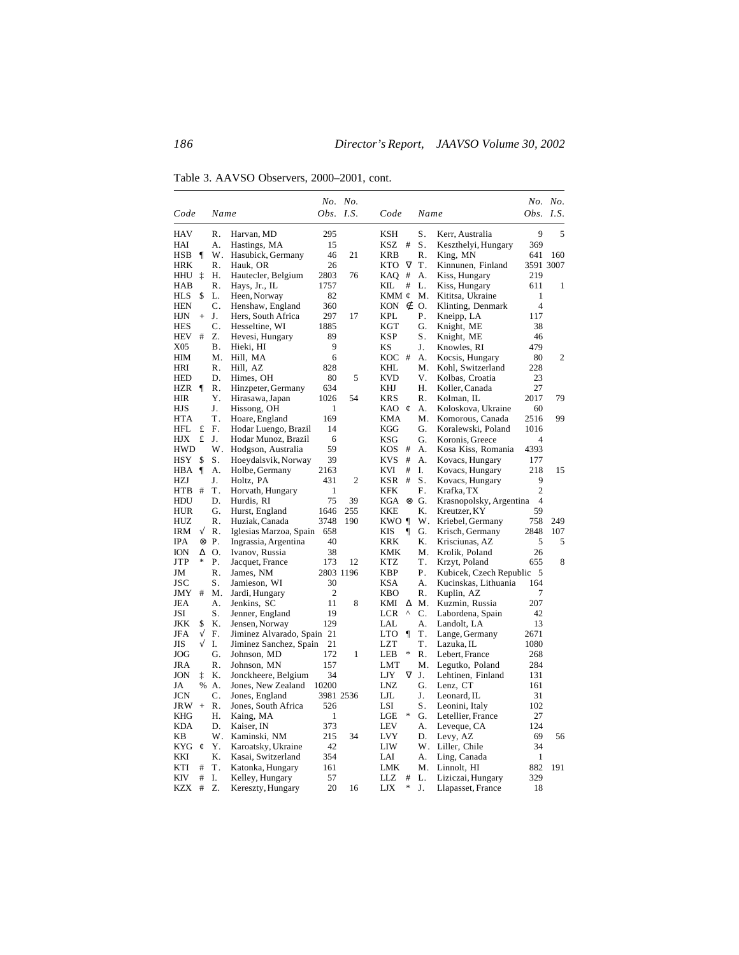Table 3. AAVSO Observers, 2000–2001, cont.

|                          |           |                |                                      |                  | No. No.      |                  |           |                                        |                  | No. No. |
|--------------------------|-----------|----------------|--------------------------------------|------------------|--------------|------------------|-----------|----------------------------------------|------------------|---------|
| Code                     |           | Name           |                                      | <i>Obs. I.S.</i> |              | Code             | Name      |                                        | <i>Obs. I.S.</i> |         |
| <b>HAV</b>               |           | R.             | Harvan, MD                           | 295              |              | KSH              | S.        | Kerr, Australia                        | 9                | 5       |
| HAI                      |           | А.             | Hastings, MA                         | 15               |              | #<br>KSZ         | S.        | Keszthelyi, Hungary                    | 369              |         |
| HSB                      | ¶         | W.             | Hasubick, Germany                    | 46               | 21           | <b>KRB</b>       | R.        | King, MN                               | 641              | 160     |
| HRK                      |           | R.             | Hauk, OR                             | 26               |              | $\nabla$<br>KTO. | Τ.        | Kinnunen, Finland                      | 3591 3007        |         |
| HHU                      | ţ         | Н.             | Hautecler, Belgium                   | 2803             | 76           | KAO<br>#         | А.        | Kiss, Hungary                          | 219              |         |
| HAB                      |           | R.             | Hays, Jr., IL                        | 1757             |              | KIL<br>#         | L.        | Kiss, Hungary                          | 611              | 1       |
| HLS                      | \$        | L.             | Heen, Norway                         | 82               |              | KMM ¢            | Μ.        | Kititsa, Ukraine                       | 1                |         |
| <b>HEN</b>               |           | C.             | Henshaw, England                     | 360              |              | KON $\notin$     | О.        | Klinting, Denmark                      | $\overline{4}$   |         |
| HJN                      | $^{+}$    | J.             | Hers, South Africa                   | 297              | 17           | KPL              | Ρ.        | Kneipp, LA                             | 117              |         |
| <b>HES</b>               |           | C.             | Hesseltine, WI                       | 1885             |              | KGT              | G.        | Knight, ME                             | 38               |         |
| <b>HEV</b>               | #         | Z.             | Hevesi, Hungary                      | 89               |              | <b>KSP</b>       | S.        | Knight, ME                             | 46               |         |
| X05                      |           | В.             | Hieki, HI                            | 9                |              | ΚS               | J.        | Knowles, RI                            | 479              |         |
| HІМ                      |           | Μ.             | Hill, MA                             | 6                |              | $KOC$ #          | А.        | Kocsis, Hungary                        | 80               | 2       |
| HRI                      |           | $\mathsf{R}$ . | Hill, AZ                             | 828              |              | KHL              | М.        | Kohl, Switzerland                      | 228              |         |
| <b>HED</b>               |           | D.             | Himes, OH                            | 80               | 5            | <b>KVD</b>       | V.        | Kolbas, Croatia                        | 23               |         |
| HZR                      | 1         | R.             | Hinzpeter, Germany                   | 634              |              | KHJ              | Н.        | Koller, Canada                         | 27               |         |
| <b>HIR</b>               |           | Y.             | Hirasawa, Japan                      | 1026             | 54           | <b>KRS</b>       | R.        | Kolman, IL                             | 2017             | 79      |
| HJS                      |           | J.             | Hissong, OH                          | 1                |              | KAO $\phi$       | А.        | Koloskova, Ukraine                     | 60               |         |
| <b>HTA</b>               |           | T.             | Hoare, England                       | 169              |              | KMA              | Μ.        | Komorous, Canada                       | 2516             | 99      |
| <b>HFL</b>               | £         | F.             | Hodar Luengo, Brazil                 | 14               |              | KGG              | G.        | Koralewski, Poland                     | 1016             |         |
| HJХ                      | £         | J.             | Hodar Munoz, Brazil                  | 6<br>59          |              | KSG              | G.        | Koronis, Greece                        | 4                |         |
| <b>HWD</b><br><b>HSY</b> |           | W.             | Hodgson, Australia                   | 39               |              | #<br>KOS<br>#    | A.        | Kosa Kiss, Romania                     | 4393             |         |
| HBA                      | \$        | S.<br>А.       | Hoeydalsvik, Norway                  | 2163             |              | KVS<br>#<br>KVI  | А.<br>I.  | Kovacs, Hungary                        | 177<br>218       | 15      |
| <b>HZJ</b>               | 1         | J.             | Holbe, Germany<br>Holtz, PA          | 431              | 2            | KSR<br>#         | S.        | Kovacs, Hungary<br>Kovacs, Hungary     | 9                |         |
| <b>HTB</b>               | $^{\#}$   | Τ.             | Horvath, Hungary                     | 1                |              | KFK              | F.        | Krafka, TX                             | $\overline{c}$   |         |
| HDU                      |           | D.             | Hurdis, RI                           | 75               | 39           | $KGA \otimes G.$ |           | Krasnopolsky, Argentina                | 4                |         |
| <b>HUR</b>               |           | G.             | Hurst, England                       | 1646             | 255          | <b>KKE</b>       | K.        | Kreutzer, KY                           | 59               |         |
| HUZ                      |           | R.             | Huziak, Canada                       | 3748             | 190          | KWO ¶            | W.        | Kriebel, Germany                       | 758              | 249     |
| IRM                      | $\sqrt{}$ | R.             | Iglesias Marzoa, Spain               | 658              |              | KIS<br>¶         | G.        | Krisch, Germany                        | 2848             | 107     |
| IPA                      | ⊗         | Ρ.             | Ingrassia, Argentina                 | 40               |              | KRK              | Κ.        | Krisciunas, AZ                         | 5                | 5       |
| ION                      | Δ         | O.             | Ivanov, Russia                       | 38               |              | KMK              | M.        | Krolik, Poland                         | 26               |         |
| JTP                      | *         | Ρ.             | Jacquet, France                      | 173              | 12           | KTZ              | Τ.        | Krzyt, Poland                          | 655              | 8       |
| JM                       |           | R.             | James, NM                            |                  | 2803 1196    | KBP              | Ρ.        | Kubicek, Czech Republic                | - 5              |         |
| JSC                      |           | S.             | Jamieson, WI                         | 30               |              | KSA              | A.        | Kucinskas, Lithuania                   | 164              |         |
| JMY                      | #         | М.             | Jardi, Hungary                       | $\overline{2}$   |              | KBO              | R.        | Kuplin, AZ                             | 7                |         |
| JEA                      |           | А.             | Jenkins, SC                          | 11               | 8            | KMI<br>Δ         | Μ.        | Kuzmin, Russia                         | 207              |         |
| JSI                      |           | S.             | Jenner, England                      | 19               |              | <b>LCR</b><br>Λ  | C.        | Labordena, Spain                       | 42               |         |
| JKK                      | \$        | K.             | Jensen, Norway                       | 129              |              | LAL              | А.        | Landolt, LA                            | 13               |         |
| JFA                      | $\sqrt{}$ | F.             | Jiminez Alvarado, Spain 21           |                  |              | LTO<br>1         | Τ.        | Lange, Germany                         | 2671             |         |
| ЛS                       | √         | I.             | Jiminez Sanchez, Spain               | 21               |              | LZT              | <b>T.</b> | Lazuka, IL                             | 1080             |         |
| JOG                      |           | G.             | Johnson, MD                          | 172              | $\mathbf{1}$ | $\ast$<br>LEB    | R.        | Lebert, France                         | 268              |         |
| JRA                      |           | R.             | Johnson, MN                          | 157              |              | LMT              | Μ.        | Legutko, Poland                        | 284              |         |
| <b>JON</b>               | ţ         | K.             | Jonckheere, Belgium                  | 34               |              | $\nabla$<br>LJY  | J.        | Lehtinen, Finland                      | 131              |         |
| JA                       | %         | А.             | Jones, New Zealand                   | 10200            |              | LNZ              | G.        | Lenz, CT                               | 161              |         |
| <b>JCN</b>               |           | C.             | Jones, England                       |                  | 3981 2536    | LJL              | J.        | Leonard, IL                            | 31               |         |
| JRW                      | $^{+}$    | R.             | Jones, South Africa                  | 526              |              | LSI              | S.        | Leonini, Italy                         | 102              |         |
| KHG                      |           | Η.             | Kaing, MA                            | 1                |              | LGE<br>∗         | G.        | Letellier, France                      | 27               |         |
| KDA                      |           | D.             | Kaiser, IN                           | 373              |              | LEV              | А.        | Leveque, CA                            | 124              |         |
| KΒ                       |           | W.             | Kaminski, NM                         | 215              | 34           | <b>LVY</b>       | D.        | Levy, AZ                               | 69               | 56      |
| KYG ¢                    |           | Y.             | Karoatsky, Ukraine                   | 42               |              | LIW              | W.        | Liller, Chile                          | 34               |         |
| KKI<br>KTI               |           | K.             | Kasai, Switzerland                   | 354<br>161       |              | LAI<br>LMK       | А.<br>М.  | Ling, Canada                           | 1                | 191     |
| KIV                      | #<br>#    | Τ.<br>I.       | Katonka, Hungary                     | 57               |              | LLZ<br>#         | L.        | Linnolt, HI                            | 882<br>329       |         |
| <b>KZX</b>               | #         | Z.             | Kelley, Hungary<br>Kereszty, Hungary | 20               | 16           | LJX<br>*         | J.        | Liziczai, Hungary<br>Llapasset, France | 18               |         |
|                          |           |                |                                      |                  |              |                  |           |                                        |                  |         |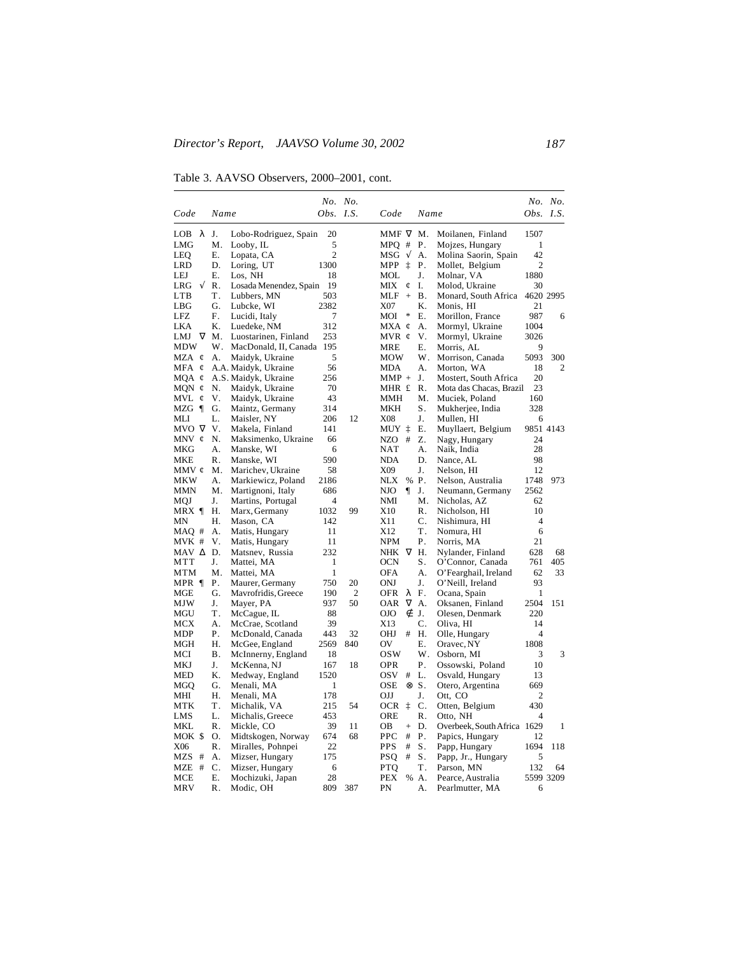Table 3. AAVSO Observers, 2000–2001, cont.

|                  |            |                        | No. No.          |                |                |            |             |                             |              | No. No.        |
|------------------|------------|------------------------|------------------|----------------|----------------|------------|-------------|-----------------------------|--------------|----------------|
| Code             | Name       |                        | <i>Obs. I.S.</i> |                | Code           |            | Name        |                             | Obs. $I.S.$  |                |
| λ<br>LOB         | J.         | Lobo-Rodriguez, Spain  | 20               |                | MMF $\nabla$   |            | M.          | Moilanen, Finland           | 1507         |                |
| <b>LMG</b>       | Μ.         | Looby, IL              | 5                |                | $MPQ$ #        |            | Ρ.          | Mojzes, Hungary             | 1            |                |
| LEO              | Е.         | Lopata, CA             | $\overline{2}$   |                | MSG            | $\sqrt{ }$ | А.          | Molina Saorin, Spain        | 42           |                |
| LRD              | D.         | Loring, UT             | 1300             |                | MPP            | İ          | Ρ.          | Mollet, Belgium             | 2            |                |
| LEJ              | Ε.         | Los, NH                | 18               |                | MOL            |            | J.          | Molnar, VA                  | 1880         |                |
| $\sqrt{}$<br>LRG | R.         | Losada Menendez, Spain | 19               |                | MIX            | ¢          | I.          | Molod, Ukraine              | 30           |                |
| <b>LTB</b>       | T.         | Lubbers, MN            | 503              |                | $MLF +$        |            | <b>B</b> .  | Monard, South Africa        | 4620 2995    |                |
| LBG              | G.         | Lubcke, WI             | 2382             |                | X07            |            | Κ.          | Monis, HI                   | 21           |                |
| LFZ              | F.         | Lucidi, Italy          | 7                |                | MOI            | $\ast$     | Ε.          | Morillon, France            | 987          | 6              |
| LKA              | Κ.         | Luedeke, NM            | 312              |                | $MXA \notin$   |            | А.          | Mormyl, Ukraine             | 1004         |                |
| $\nabla$<br>LMJ  | M.         | Luostarinen, Finland   | 253              |                | MVR $\epsilon$ |            | V.          | Mormyl, Ukraine             | 3026         |                |
| <b>MDW</b>       | W.         | MacDonald, II, Canada  | 195              |                | <b>MRE</b>     |            | Е.          | Morris, AL                  | 9            |                |
| MZA ¢            | А.         | Maidyk, Ukraine        | 5                |                | <b>MOW</b>     |            | W.          | Morrison, Canada            | 5093         | 300            |
| MFA<br>¢         |            | A.A. Maidyk, Ukraine   | 56               |                | <b>MDA</b>     |            | А.          | Morton, WA                  | 18           | $\overline{c}$ |
| $MQA \notin$     |            | A.S. Maidyk, Ukraine   | 256              |                | $MMP +$        |            | J.          | Mostert, South Africa       | 20           |                |
| MQN $\phi$       | N.         | Maidyk, Ukraine        | 70               |                | MHR £          |            | R.          | Mota das Chacas, Brazil     | 23           |                |
| MVL<br>¢         | V.         | Maidyk, Ukraine        | 43               |                | <b>MMH</b>     |            | Μ.          | Muciek, Poland              | 160          |                |
| MZG ¶            | G.         | Maintz, Germany        | 314              |                | <b>MKH</b>     |            | S.          | Mukherjee, India            | 328          |                |
| MLI              | L.         | Maisler, NY            | 206              | 12             | <b>X08</b>     |            | J.          | Mullen, HI                  | 6            |                |
| MVO V            | V.         | Makela, Finland        | 141              |                | MUY ‡          |            | Ε.          | Muyllaert, Belgium          |              | 9851 4143      |
| MNV ¢            | N.         | Maksimenko, Ukraine    | 66               |                | NZO            | #          | Z.          | Nagy, Hungary               | 24           |                |
| MKG              | А.         | Manske, WI             | 6                |                | <b>NAT</b>     |            | А.          | Naik, India                 | 28           |                |
| MKE              | R.         | Manske, WI             | 590              |                | <b>NDA</b>     |            | D.          | Nance, AL                   | 98           |                |
| MMV ¢            | M.         | Marichev, Ukraine      | 58               |                | X09            |            | J.          | Nelson, HI                  | 12           |                |
| MKW              | А.         | Markiewicz, Poland     | 2186             |                | <b>NLX</b>     | $\%$       | Ρ.          | Nelson, Australia           | 1748         | 973            |
| MMN              | Μ.         | Martignoni, Italy      | 686              |                | NJO            | ¶          | J.          | Neumann, Germany            | 2562         |                |
| MQJ              | J.         | Martins, Portugal      | $\overline{4}$   |                | NMI            |            | Μ.          | Nicholas, AZ                | 62           |                |
| $MRX$ ¶          | Н.         | Marx, Germany          | 1032             | 99             | X10            |            | $R_{\cdot}$ | Nicholson, HI               | 10           |                |
| MΝ               | Н.         | Mason, CA              | 142              |                | X11            |            | C.          | Nishimura, HI               | 4            |                |
| MAQ #            | А.         | Matis, Hungary         | 11               |                | X12            |            | Τ.          | Nomura, HI                  | 6            |                |
| MVK #            | V.         | Matis, Hungary         | 11               |                | <b>NPM</b>     |            | Ρ.          | Norris, MA                  | 21           |                |
| MAV A D.         |            | Matsnev, Russia        | 232              |                | <b>NHK</b>     | $\nabla$   | Η.          | Nylander, Finland           | 628          | 68             |
| MTT              | J.         | Mattei, MA             | 1                |                | <b>OCN</b>     |            | S.          | O'Connor, Canada            | 761          | 405            |
| MTM              | Μ.         | Mattei, MA             | 1                |                | <b>OFA</b>     |            | А.          | O'Fearghail, Ireland        | 62           | 33             |
| MPR ¶            | Ρ.         | Maurer, Germany        | 750              | 20             | <b>ONJ</b>     |            | J.          | O'Neill, Ireland            | 93           |                |
| MGE              | G.         | Mavrofridis, Greece    | 190              | $\overline{c}$ | <b>OFR</b>     | λ          | F.          | Ocana, Spain                | 1            |                |
| MJW              | J.         | Mayer, PA              | 937              | 50             | <b>OAR</b>     | $\nabla$   | A.          | Oksanen, Finland            | 2504         | 151            |
| MGU              | Τ.         | McCague, IL            | 88               |                | OJO            | É          | J.          | Olesen, Denmark             | 220          |                |
| MCX              | А.         | McCrae, Scotland       | 39               |                | X13            |            | C.          | Oliva, HI                   | 14           |                |
| MDP              | Ρ.         | McDonald, Canada       | 443              | 32             | OHJ            | #          | Η.          | Olle, Hungary               | 4            |                |
| MGH              | Η.         | McGee, England         | 2569             | 840            | OV             |            | Ε.          | Oravec, NY                  | 1808         |                |
| MCI              | <b>B</b> . | McInnerny, England     | 18               |                | <b>OSW</b>     |            | W.          | Osborn, MI                  | 3            | 3              |
| MKJ              | J.         | McKenna, NJ            | 167              | 18             | <b>OPR</b>     |            | Ρ.          | Ossowski, Poland            | 10           |                |
| <b>MED</b>       | К.         | Medway, England        | 1520             |                | OSV            | #          | L.          | Osvald, Hungary             | 13           |                |
| <b>MGQ</b>       | G.         | Menali, MA             | 1                |                | <b>OSE</b>     | ⊗          | S.          | Otero, Argentina            | 669          |                |
| MHI              | Η.         | Menali, MA             | 178              |                | OJJ            |            | J.          | Ott, CO                     | $\mathbf{2}$ |                |
| <b>MTK</b>       | Τ.         | Michalik, VA           | 215              | 54             | <b>OCR</b>     | İ          | C.          | Otten, Belgium              | 430          |                |
| LMS              | L.         | Michalis, Greece       | 453              |                | <b>ORE</b>     |            | R.          | Otto, NH                    | 4            |                |
| MKL              | R.         | Mickle, CO             | 39               | 11             | OВ             | $^{+}$     | D.          | Overbeek, South Africa 1629 |              | 1              |
| MOK \$           | O.         | Midtskogen, Norway     | 674              | 68             | <b>PPC</b>     | #          | Ρ.          | Papics, Hungary             | 12           |                |
| X06              | R.         | Miralles, Pohnpei      | 22               |                | <b>PPS</b>     | #          | S.          | Papp, Hungary               | 1694         | 118            |
| MZS #            | А.         | Mizser, Hungary        | 175              |                | <b>PSO</b>     | #          | S.          | Papp, Jr., Hungary          | 5            |                |
| MZE #            | C.         | Mizser, Hungary        | 6                |                | <b>PTQ</b>     |            | Τ.          | Parson, MN                  | 132          | 64             |
| MCE              | Е.         | Mochizuki, Japan       | 28               |                | PEX            | %          | Α.          | Pearce, Australia           |              | 5599 3209      |
| MRV              | R.         | Modic, OH              | 809              | 387            | PN             |            | А.          | Pearlmutter, MA             | 6            |                |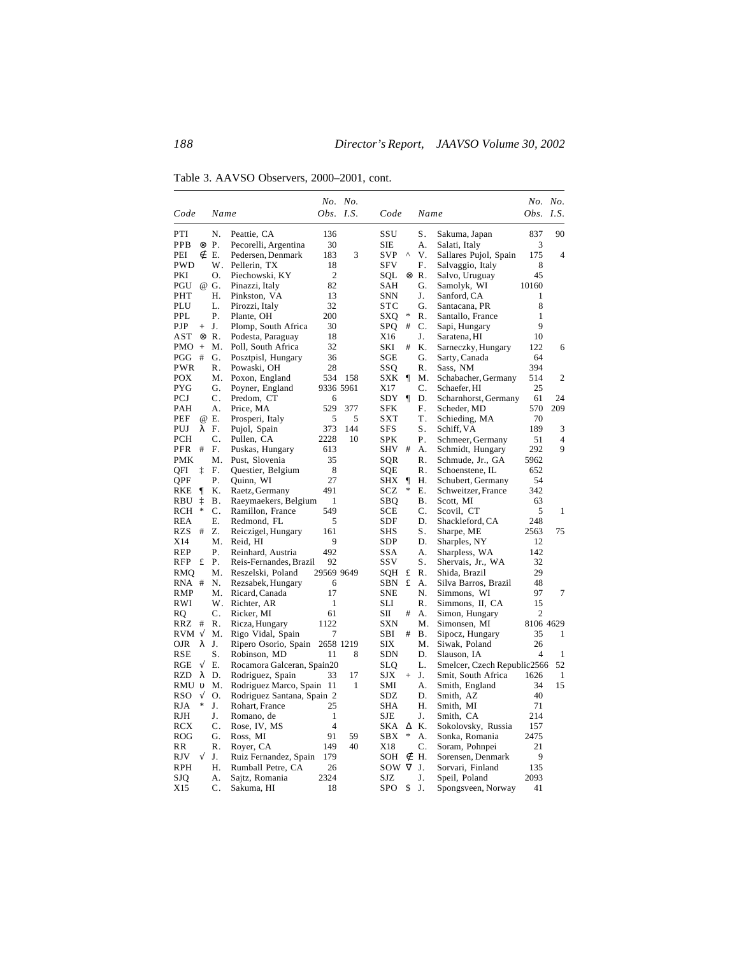Table 3. AAVSO Observers, 2000–2001, cont.

|                |           |                |                                             |                | No. No. |            |          |                |                                    | No. No.   |                |
|----------------|-----------|----------------|---------------------------------------------|----------------|---------|------------|----------|----------------|------------------------------------|-----------|----------------|
| Code           |           | Name           |                                             | Obs. $I.S.$    |         | Code       |          | Name           |                                    | Obs.      | I.S.           |
| PTI            |           | N.             | Peattie, CA                                 | 136            |         | SSU        |          | ${\bf S}$ .    | Sakuma, Japan                      | 837       | 90             |
| PPB            |           | $\otimes$ P.   | Pecorelli, Argentina                        | 30             |         | <b>SIE</b> |          | А.             | Salati, Italy                      | 3         |                |
| PEI            | ∉         | Ε.             | Pedersen, Denmark                           | 183            | 3       | <b>SVP</b> | Λ        | V.             | Sallares Pujol, Spain              | 175       | $\overline{4}$ |
| <b>PWD</b>     |           | W.             | Pellerin, TX                                | 18             |         | <b>SFV</b> |          | F.             | Salvaggio, Italy                   | 8         |                |
| PKI            |           | Ο.             | Piechowski, KY                              | $\overline{2}$ |         | SOL        | ⊗        | $R$ .          | Salvo, Uruguay                     | 45        |                |
| PGU            |           | @ G.           | Pinazzi, Italy                              | 82             |         | SAH        |          | G.             | Samolyk, WI                        | 10160     |                |
| PHT            |           | Η.             | Pinkston, VA                                | 13             |         | <b>SNN</b> |          | J.             | Sanford, CA                        | 1         |                |
| PLU            |           | L.             | Pirozzi, Italy                              | 32             |         | STC        |          | G.             | Santacana, PR                      | 8         |                |
| PPL.           |           | Ρ.             | Plante, OH                                  | 200            |         | SXQ        | ∗        | $R_{\cdot}$    | Santallo, France                   | 1         |                |
| PJP            | $+$       | J.             | Plomp, South Africa                         | 30             |         | SPQ        | #        | C.             | Sapi, Hungary                      | 9         |                |
| AST            |           | ⊗R.            | Podesta, Paraguay                           | 18             |         | X16        |          | J.             | Saratena, HI                       | 10        |                |
| <b>PMO</b>     | $^{+}$    | M.             | Poll, South Africa                          | 32             |         | SKI        | #        | Κ.             | Sarneczky, Hungary                 | 122       | 6              |
| PGG            | #         | G.             | Posztpisl, Hungary                          | 36             |         | SGE        |          | G.             | Sarty, Canada                      | 64        |                |
| PWR            |           | R.             | Powaski, OH                                 | 28             |         | SSO        |          | R.             | Sass, NM                           | 394       |                |
| <b>POX</b>     |           | Μ.             | Poxon, England                              | 534            | 158     | SXK        | $\P$     | Μ.             | Schabacher, Germany                | 514       | 2              |
| PYG            |           | G.             | Poyner, England                             | 9336 5961      |         | X17        |          | C.             | Schaefer, HI                       | 25        |                |
| PCJ            |           | $\mathbf{C}$ . | Predom, CT                                  | 6              |         | SDY        | $\P$     | D.             | Scharnhorst, Germany               | 61        | 24             |
| PAH            |           | А.             | Price, MA                                   | 529            | 377     | <b>SFK</b> |          | F.             | Scheder, MD                        | 570       | 209            |
| PEF            |           | @ E.           | Prosperi, Italy                             | 5              | 5       | <b>SXT</b> |          | T.             | Schieding, MA                      | 70        |                |
| PUJ            | λ         | F.             | Pujol, Spain                                | 373            | 144     | <b>SFS</b> |          | S.             | Schiff, VA                         | 189       | 3              |
| PCH            |           | C.             | Pullen, CA                                  | 2228           | 10      | <b>SPK</b> |          | Ρ.             | Schmeer, Germany                   | 51        | $\overline{4}$ |
| PFR            | $\#$      | F.             | Puskas, Hungary                             | 613            |         | SHV        | #        | А.             | Schmidt, Hungary                   | 292       | 9              |
| PMK            |           | Μ.             | Pust, Slovenia                              | 35             |         | SQR        |          | R.             | Schmude, Jr., GA                   | 5962      |                |
| QFI            | ţ         | F.             | Questier, Belgium                           | 8              |         | SQE        |          | R.             | Schoenstene, IL                    | 652       |                |
| QPF            |           | Ρ.             | Quinn, WI                                   | 27             |         | SHX        | ¶        | Н.             | Schubert, Germany                  | 54        |                |
| RKE            | $\P$      | K.             | Raetz, Germany                              | 491            |         | SCZ        | *        | Е.             | Schweitzer, France                 | 342       |                |
| RBU            | ţ<br>*    | Β.             | Raeymaekers, Belgium                        | 1              |         | SBO        |          | В.             | Scott, MI                          | 63        |                |
| RCH            |           | C.             | Ramillon, France                            | 549            |         | <b>SCE</b> |          | C.             | Scovil, CT                         | 5         | 1              |
| <b>REA</b>     |           | Ε.             | Redmond, FL                                 | 5              |         | SDF        |          | D.             | Shackleford, CA                    | 248       |                |
| RZS            | #         | Z.             | Reiczigel, Hungary                          | 161            |         | SHS        |          | S.             | Sharpe, ME                         | 2563      | 75             |
| X14            |           | Μ.<br>Ρ.       | Reid, HI                                    | 9<br>492       |         | <b>SDP</b> |          | D.<br>A.       | Sharples, NY                       | 12<br>142 |                |
| REP<br>RFP     | £         | Ρ.             | Reinhard, Austria<br>Reis-Fernandes, Brazil | 92             |         | SSA<br>SSV |          | S.             | Sharpless, WA<br>Shervais, Jr., WA | 32        |                |
|                |           | Μ.             |                                             | 29569 9649     |         |            | £        | $\mathsf{R}$ . | Shida, Brazil                      | 29        |                |
| RMQ<br>RNA #   |           | N.             | Reszelski, Poland<br>Rezsabek, Hungary      | 6              |         | SQH<br>SBN | £        | A.             | Silva Barros, Brazil               | 48        |                |
| <b>RMP</b>     |           | М.             | Ricard, Canada                              | 17             |         | <b>SNE</b> |          | N.             | Simmons, WI                        | 97        | 7              |
| RWI            |           | W.             | Richter, AR                                 | 1              |         | SLI        |          | R.             | Simmons, II, CA                    | 15        |                |
| RQ             |           | C.             | Ricker, MI                                  | 61             |         | SП         | #        | А.             | Simon, Hungary                     | 2         |                |
| RRZ            | #         | R.             | Ricza, Hungary                              | 1122           |         | <b>SXN</b> |          | Μ.             | Simonsen, MI                       | 8106 4629 |                |
| $RVM \sqrt{ }$ |           | Μ.             | Rigo Vidal, Spain                           | 7              |         | SBI        | #        | Β.             | Sipocz, Hungary                    | 35        | 1              |
| <b>OJR</b>     | λ         | J.             | Ripero Osorio, Spain                        | 2658 1219      |         | SIX        |          | Μ.             | Siwak, Poland                      | 26        |                |
| RSE            |           | S.             | Robinson, MD                                | 11             | 8       | <b>SDN</b> |          | D.             | Slauson, IA                        | 4         | 1              |
| RGE            | $\sqrt{}$ | Ε.             | Rocamora Galceran, Spain20                  |                |         | <b>SLQ</b> |          | L.             | Smelcer, Czech Republic2566        |           | 52             |
| <b>RZD</b>     | λ         | D.             | Rodriguez, Spain                            | 33             | 17      | <b>SJX</b> | $^{+}$   | J.             | Smit, South Africa                 | 1626      | 1              |
| RMU υ          |           | M.             | Rodriguez Marco, Spain 11                   |                | 1       | SMI        |          | А.             | Smith, England                     | 34        | 15             |
| RSO            | $\sqrt{}$ | Ο.             | Rodriguez Santana, Spain 2                  |                |         | SDZ        |          | D.             | Smith, AZ                          | 40        |                |
| RJA            | *         | J.             | Rohart, France                              | 25             |         | <b>SHA</b> |          | Н.             | Smith, MI                          | 71        |                |
| RJH            |           | J.             | Romano, de                                  | 1              |         | <b>SJE</b> |          | J.             | Smith, CA                          | 214       |                |
| RCX            |           | C.             | Rose, IV, MS                                | $\overline{4}$ |         | SKA        | Δ        | Κ.             | Sokolovsky, Russia                 | 157       |                |
| <b>ROG</b>     |           | G.             | Ross, MI                                    | 91             | 59      | <b>SBX</b> | *        | А.             | Sonka, Romania                     | 2475      |                |
| RR             |           | R.             | Royer, CA                                   | 149            | 40      | X18        |          | C.             | Soram, Pohnpei                     | 21        |                |
| RJV            | $\sqrt{}$ | J.             | Ruiz Fernandez, Spain                       | 179            |         | SOH        | ∉        | Н.             | Sorensen, Denmark                  | 9         |                |
| <b>RPH</b>     |           | Η.             | Rumball Petre, CA                           | 26             |         | SOW        | $\nabla$ | J.             | Sorvari, Finland                   | 135       |                |
| SJO            |           | A.             | Sajtz, Romania                              | 2324           |         | SJZ        |          | J.             | Speil, Poland                      | 2093      |                |
| X15            |           | C.             | Sakuma, HI                                  | 18             |         | SPO        | \$       | J.             | Spongsveen, Norway                 | 41        |                |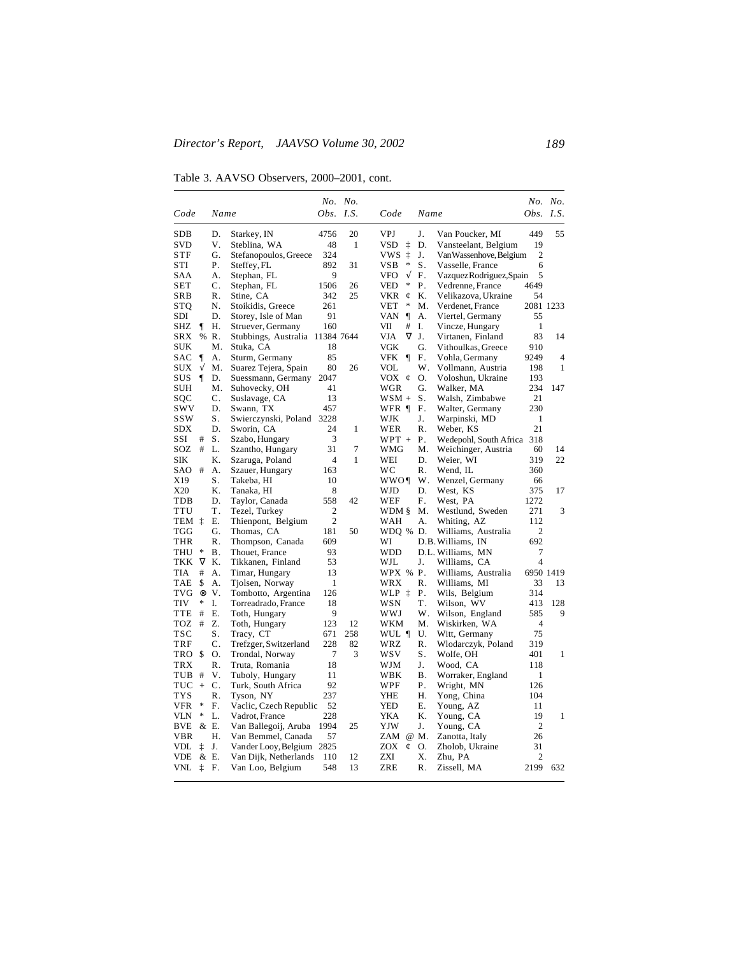Table 3. AAVSO Observers, 2000–2001, cont.

|                          |            |                |                                            |                | No. No.      |                         |                |                                               |                      | No. No.        |
|--------------------------|------------|----------------|--------------------------------------------|----------------|--------------|-------------------------|----------------|-----------------------------------------------|----------------------|----------------|
| Code                     |            | Name           |                                            | Obs. I.S.      |              | Code                    | Name           |                                               | Obs. I.S.            |                |
| <b>SDB</b>               |            | D.             | Starkey, IN                                | 4756           | 20           | VPJ                     | J.             | Van Poucker, MI                               | 449                  | 55             |
| SVD                      |            | V.             | Steblina, WA                               | 48             | $\mathbf{1}$ | <b>VSD</b><br>ţ         | D.             | Vansteelant, Belgium                          | 19                   |                |
| STF                      |            | G.             | Stefanopoulos, Greece                      | 324            |              | ţ<br>VWS.               | J.             | VanWassenhove, Belgium                        | 2                    |                |
| STI                      |            | Ρ.             | Steffey, FL                                | 892            | 31           | *<br>VSB.               | S.             | Vasselle, France                              | 6                    |                |
| <b>SAA</b>               |            | А.             | Stephan, FL                                | 9              |              | $\sqrt{}$<br><b>VFO</b> | F.             | Vazquez Rodriguez, Spain                      | 5                    |                |
| <b>SET</b>               |            | C.             | Stephan, FL                                | 1506           | 26           | VED<br>*                | Ρ.             | Vedrenne, France                              | 4649                 |                |
| <b>SRB</b>               |            | R.             | Stine, CA                                  | 342            | 25           | <b>VKR</b><br>¢         | K.             | Velikazova, Ukraine                           | 54                   |                |
| STQ                      |            | N.             | Stoikidis, Greece                          | 261            |              | *<br><b>VET</b>         | Μ.             | Verdenet, France                              | 2081 1233            |                |
| SDI                      |            | D.             | Storey, Isle of Man                        | 91             |              | $\mathbf{I}$<br>VAN     | А.             | Viertel, Germany                              | 55                   |                |
| SHZ                      | ſ          | Н.             | Struever, Germany                          | 160            |              | VII<br>#                | Ι.             | Vincze, Hungary                               | $\mathbf{1}$         |                |
| <b>SRX</b>               |            | % R.           | Stubbings, Australia 11384 7644            |                |              | $\nabla$<br>VJA         | J.             | Virtanen, Finland                             | 83                   | 14             |
| SUK                      |            | Μ.             | Stuka, CA                                  | 18             |              | VGK                     | G.             | Vithoulkas, Greece                            | 910                  |                |
| SAC                      | $\P$       | А.             | Sturm, Germany                             | 85             |              | VFK<br>$\P$             | F.             | Vohla, Germany                                | 9249                 | $\overline{4}$ |
| <b>SUX</b>               | √          | Μ.             | Suarez Tejera, Spain                       | 80             | 26           | VOL                     | W.             | Vollmann, Austria                             | 198                  | 1              |
| SUS                      | $\P$       | D.             | Suessmann, Germany                         | 2047           |              | VOX<br>$\mathfrak{C}$   | О.             | Voloshun, Ukraine                             | 193                  |                |
| <b>SUH</b>               |            | Μ.             | Suhovecky, OH                              | 41             |              | <b>WGR</b>              | G.             | Walker, MA                                    | 234                  | 147            |
| SQC                      |            | C.             | Suslavage, CA                              | 13             |              | $WSM +$                 | S.             | Walsh, Zimbabwe                               | 21                   |                |
| <b>SWV</b><br><b>SSW</b> |            | D.<br>S.       | Swann, TX                                  | 457<br>3228    |              | WFR ¶<br>WJK            | F.<br>J.       | Walter, Germany                               | 230<br>$\mathbf{1}$  |                |
| <b>SDX</b>               |            | D.             | Swierczynski, Poland<br>Sworin, CA         | 24             | 1            | WER                     | $R_{\cdot}$    | Warpinski, MD<br>Weber, KS                    | 21                   |                |
| SSI                      | #          | S.             |                                            | 3              |              | $WPT +$                 | Ρ.             |                                               | 318                  |                |
| SOZ                      | #          | L.             | Szabo, Hungary<br>Szantho, Hungary         | 31             | 7            | WMG                     | Μ.             | Wedepohl, South Africa<br>Weichinger, Austria | 60                   | 14             |
| <b>SIK</b>               |            | K.             | Szaruga, Poland                            | $\overline{4}$ | $\mathbf{1}$ | WEI                     | D.             | Weier, WI                                     | 319                  | 22             |
| SAO                      | #          | А.             | Szauer, Hungary                            | 163            |              | WC                      | $R_{\cdot}$    | Wend, IL                                      | 360                  |                |
| X19                      |            | S.             | Takeba, HI                                 | 10             |              | WWO¶                    | W.             | Wenzel, Germany                               | 66                   |                |
| X20                      |            | Κ.             | Tanaka, HI                                 | 8              |              | WJD                     | D.             | West, KS                                      | 375                  | 17             |
| TDB                      |            | D.             | Taylor, Canada                             | 558            | 42           | WEF                     | F.             | West, PA                                      | 1272                 |                |
| <b>TTU</b>               |            | Τ.             | Tezel, Turkey                              | $\overline{2}$ |              | WDM §                   | M.             | Westlund, Sweden                              | 271                  | 3              |
| TEM ‡                    |            | Ε.             | Thienpont, Belgium                         | $\overline{2}$ |              | WAH                     | А.             | Whiting, AZ                                   | 112                  |                |
| TGG                      |            | G.             | Thomas, CA                                 | 181            | 50           | WDQ % D.                |                | Williams, Australia                           | 2                    |                |
| <b>THR</b>               |            | R.             | Thompson, Canada                           | 609            |              | WI                      |                | D.B. Williams, IN                             | 692                  |                |
| <b>THU</b>               | *          | Β.             | Thouet, France                             | 93             |              | <b>WDD</b>              |                | D.L. Williams, MN                             | 7                    |                |
| TKK                      | $\nabla$   | Κ.             | Tikkanen, Finland                          | 53             |              | WJL                     | J.             | Williams, CA                                  | $\overline{4}$       |                |
| <b>TIA</b>               | #          | А.             | Timar, Hungary                             | 13             |              | WPX % P.                |                | Williams, Australia                           |                      | 6950 1419      |
| <b>TAE</b>               | \$         | А.             | Tjolsen, Norway                            | 1              |              | <b>WRX</b>              | $\mathsf{R}$ . | Williams, MI                                  | 33                   | 13             |
| <b>TVG</b>               | $^{\circ}$ | V.             | Tombotto, Argentina                        | 126            |              | WLP ‡                   | Ρ.             | Wils, Belgium                                 | 314                  |                |
| <b>TIV</b>               | *          | I.             | Torreadrado, France                        | 18             |              | <b>WSN</b>              | Τ.             | Wilson, WV                                    | 413                  | 128            |
| <b>TTE</b>               | #          | Е.             | Toth, Hungary                              | 9              |              | WWJ                     | W.             | Wilson, England                               | 585                  | 9              |
| TOZ                      | #          | Z.             | Toth, Hungary                              | 123            | 12           | WKM                     | М.             | Wiskirken, WA                                 | $\overline{4}$       |                |
| <b>TSC</b>               |            | S.             | Tracy, CT                                  | 671            | 258          | WUL ¶                   | U.             | Witt, Germany                                 | 75                   |                |
| TRF                      |            | C.             | Trefzger, Switzerland                      | 228            | 82           | WRZ                     | R.             | Wlodarczyk, Poland                            | 319                  |                |
| TRO \$                   |            | Ο.             | Trondal, Norway                            | 7              | 3            | WSV                     | S.             | Wolfe, OH                                     | 401                  | $\mathbf{1}$   |
| <b>TRX</b>               |            | $\mathbf{R}$ . | Truta, Romania                             | 18             |              | WJM                     | J.             | Wood, CA                                      | 118                  |                |
| <b>TUB</b>               | #          | V.             | Tuboly, Hungary                            | 11             |              | WBK                     | Β.             | Worraker, England                             | 1                    |                |
| TUC                      | $^{+}$     | C.             | Turk, South Africa                         | 92             |              | WPF                     | Ρ.             | Wright, MN                                    | 126                  |                |
| <b>TYS</b><br><b>VFR</b> | ∗          | R.<br>F.       | Tyson, NY                                  | 237<br>52      |              | YHE<br>YED              | Н.<br>Ε.       | Yong, China                                   | 104<br>11            |                |
| VLN                      | ∗          | L.             | Vaclic, Czech Republic                     | 228            |              | YKA                     | Κ.             | Young, AZ                                     | 19                   | 1              |
|                          |            |                | Vadrot, France                             | 1994           |              |                         |                | Young, CA                                     |                      |                |
| BVE<br>VBR               |            | & E.<br>Η.     | Van Ballegoij, Aruba<br>Van Bemmel, Canada | 57             | 25           | YJW<br>ZAM @ M.         | J.             | Young, CA                                     | $\overline{2}$<br>26 |                |
| VDL                      | ţ          | J.             | Vander Looy, Belgium 2825                  |                |              | ZOX<br>¢                | Ο.             | Zanotta, Italy<br>Zholob, Ukraine             | 31                   |                |
| <b>VDE</b>               |            | & E.           | Van Dijk, Netherlands                      | 110            | 12           | ZXI                     | X.             | Zhu, PA                                       | $\overline{2}$       |                |
| VNL                      | İ          | F.             | Van Loo, Belgium                           | 548            | 13           | ZRE                     | R.             | Zissell, MA                                   | 2199                 | 632            |
|                          |            |                |                                            |                |              |                         |                |                                               |                      |                |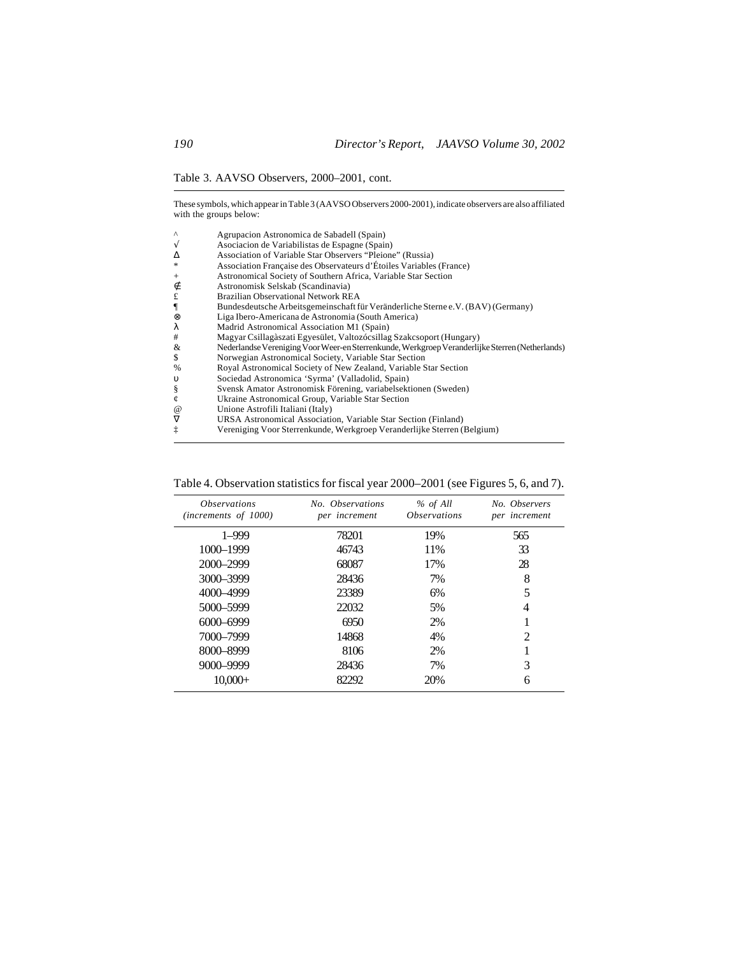Table 3. AAVSO Observers, 2000–2001, cont.

These symbols, which appear in Table 3 (AAVSO Observers 2000-2001), indicate observers are also affiliated with the groups below:

| $\wedge$        | Agrupacion Astronomica de Sabadell (Spain)                                                      |
|-----------------|-------------------------------------------------------------------------------------------------|
| $\sqrt{ }$      | Asociacion de Variabilistas de Espagne (Spain)                                                  |
| Δ               | Association of Variable Star Observers "Pleione" (Russia)                                       |
| *               | Association Française des Observateurs d'Étoiles Variables (France)                             |
| $^{+}$          | Astronomical Society of Southern Africa, Variable Star Section                                  |
| ∉               | Astronomisk Selskab (Scandinavia)                                                               |
| £               | Brazilian Observational Network REA                                                             |
| $\P$            | Bundesdeutsche Arbeitsgemeinschaft für Veränderliche Sterne e.V. (BAV) (Germany)                |
| ⊗               | Liga Ibero-Americana de Astronomia (South America)                                              |
| λ               | Madrid Astronomical Association M1 (Spain)                                                      |
| #               | Magyar Csillagàszati Egyesület, Valtozócsillag Szakcsoport (Hungary)                            |
| &               | Nederlandse Vereniging Voor Weer-en Sterrenkunde, Werkgroep Veranderlijke Sterren (Netherlands) |
| \$              | Norwegian Astronomical Society, Variable Star Section                                           |
| %               | Royal Astronomical Society of New Zealand, Variable Star Section                                |
| $\upsilon$      | Sociedad Astronomica 'Syrma' (Valladolid, Spain)                                                |
| ş               | Svensk Amator Astronomisk Förening, variabelsektionen (Sweden)                                  |
| ¢               | Ukraine Astronomical Group, Variable Star Section                                               |
| $^{\copyright}$ | Unione Astrofili Italiani (Italy)                                                               |
| $\nabla$        | URSA Astronomical Association, Variable Star Section (Finland)                                  |
| ţ               | Vereniging Voor Sterrenkunde, Werkgroep Veranderlijke Sterren (Belgium)                         |

| <i><b>Observations</b></i><br>(increments of 1000) | No. Observations<br>per increment | % of All<br><i><b>Observations</b></i> | No. Observers<br>per increment |
|----------------------------------------------------|-----------------------------------|----------------------------------------|--------------------------------|
| $1 - 999$                                          | 78201                             | 19%                                    | 565                            |
| 1000-1999                                          | 46743                             | 11%                                    | 33                             |
| $2000 - 2999$                                      | 68087                             | 17%                                    | 28                             |
| 3000-3999                                          | 28436                             | 7%                                     | 8                              |
| 4000-4999                                          | 23389                             | 6%                                     | 5                              |
| 5000-5999                                          | 22032                             | 5%                                     | 4                              |
| $6000 - 6999$                                      | 6950                              | 2%                                     |                                |
| 7000–7999                                          | 14868                             | 4%                                     | 2                              |
| 8000-8999                                          | 8106                              | 2%                                     |                                |
| 9000-9999                                          | 28436                             | 7%                                     | 3                              |
| $10,000+$                                          | 82292                             | 20%                                    | 6                              |

Table 4. Observation statistics for fiscal year 2000–2001 (see Figures 5, 6, and 7).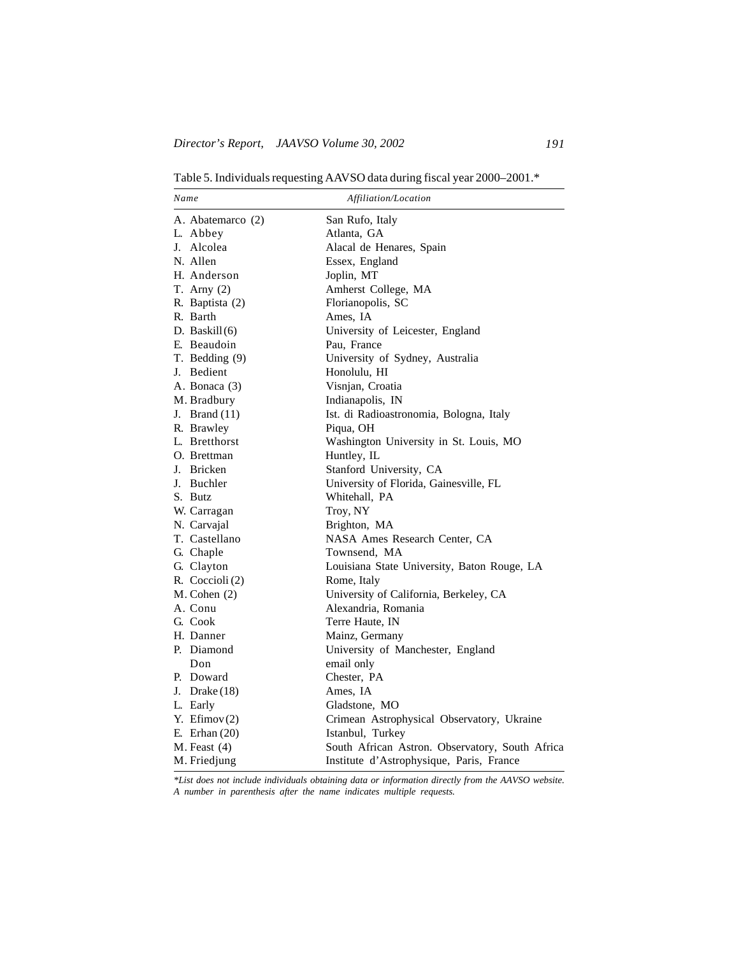Table 5. Individuals requesting AAVSO data during fiscal year 2000–2001.\*

| Name              | Affiliation/Location                            |
|-------------------|-------------------------------------------------|
| A. Abatemarco (2) | San Rufo, Italy                                 |
| L. Abbey          | Atlanta, GA                                     |
| J. Alcolea        | Alacal de Henares, Spain                        |
| N. Allen          | Essex, England                                  |
| H. Anderson       | Joplin, MT                                      |
| T. Arny $(2)$     | Amherst College, MA                             |
| R. Baptista (2)   | Florianopolis, SC                               |
| R. Barth          | Ames, IA                                        |
| D. Baskil $(6)$   | University of Leicester, England                |
| E. Beaudoin       | Pau, France                                     |
| T. Bedding (9)    | University of Sydney, Australia                 |
| J. Bedient        | Honolulu, HI                                    |
| A. Bonaca (3)     | Visnjan, Croatia                                |
| M. Bradbury       | Indianapolis, IN                                |
| J. Brand $(11)$   | Ist. di Radioastronomia, Bologna, Italy         |
| R. Brawley        | Piqua, OH                                       |
| L. Bretthorst     | Washington University in St. Louis, MO          |
| O. Brettman       | Huntley, IL                                     |
| J. Bricken        | Stanford University, CA                         |
| J. Buchler        | University of Florida, Gainesville, FL          |
| S. Butz           | Whitehall, PA                                   |
| W. Carragan       | Troy, NY                                        |
| N. Carvajal       | Brighton, MA                                    |
| T. Castellano     | NASA Ames Research Center, CA                   |
| G. Chaple         | Townsend, MA                                    |
| G. Clayton        | Louisiana State University, Baton Rouge, LA     |
| R. Coccioli (2)   | Rome, Italy                                     |
| $M.$ Cohen $(2)$  | University of California, Berkeley, CA          |
| A. Conu           | Alexandria, Romania                             |
| G. Cook           | Terre Haute, IN                                 |
| H. Danner         | Mainz, Germany                                  |
| P. Diamond        | University of Manchester, England               |
| Don               | email only                                      |
| P. Doward         | Chester, PA                                     |
| J. Drake $(18)$   | Ames, IA                                        |
| L. Early          | Gladstone, MO                                   |
| Y. Efimov $(2)$   | Crimean Astrophysical Observatory, Ukraine      |
| E. Erhan $(20)$   | Istanbul, Turkey                                |
| $M.$ Feast $(4)$  | South African Astron. Observatory, South Africa |
| M. Friedjung      | Institute d'Astrophysique, Paris, France        |

*\*List does not include individuals obtaining data or information directly from the AAVSO website. A number in parenthesis after the name indicates multiple requests.*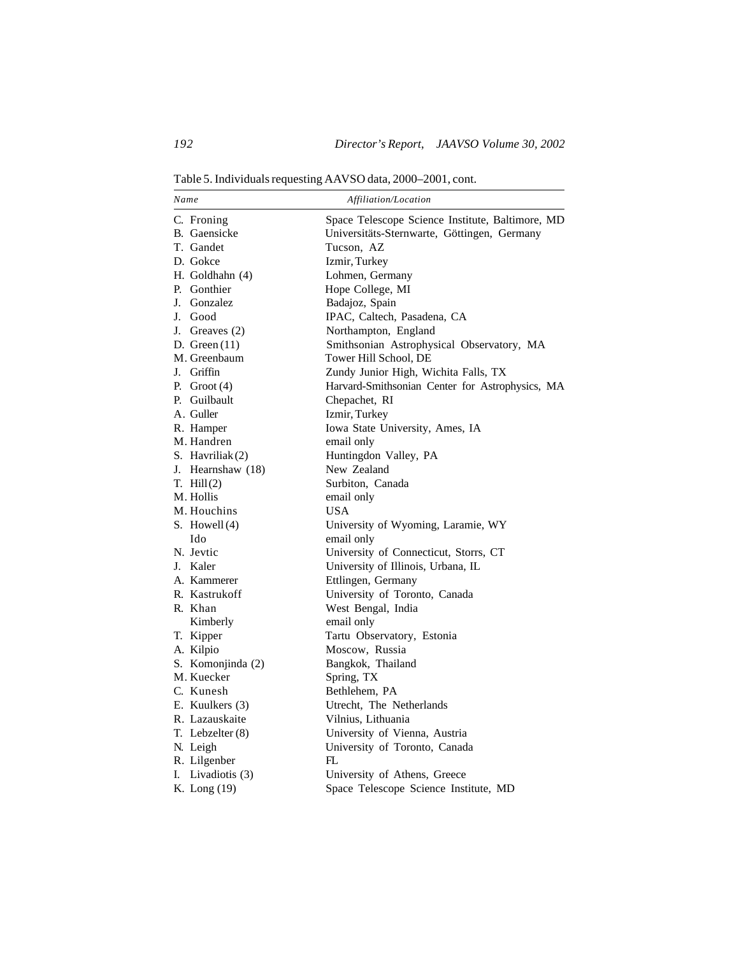Table 5. Individuals requesting AAVSO data, 2000–2001, cont.

| Name                 | Affiliation/Location                             |
|----------------------|--------------------------------------------------|
| C. Froning           | Space Telescope Science Institute, Baltimore, MD |
| B. Gaensicke         | Universitäts-Sternwarte, Göttingen, Germany      |
| T. Gandet            | Tucson, AZ                                       |
| D. Gokce             | Izmir, Turkey                                    |
| H. Goldhahn (4)      | Lohmen, Germany                                  |
| P. Gonthier          | Hope College, MI                                 |
| J. Gonzalez          | Badajoz, Spain                                   |
| J. Good              | IPAC, Caltech, Pasadena, CA                      |
| J. Greaves (2)       | Northampton, England                             |
| D. Green $(11)$      | Smithsonian Astrophysical Observatory, MA        |
| M. Greenbaum         | Tower Hill School, DE                            |
| J. Griffin           | Zundy Junior High, Wichita Falls, TX             |
| P. Groot $(4)$       | Harvard-Smithsonian Center for Astrophysics, MA  |
| P. Guilbault         | Chepachet, RI                                    |
| A. Guller            | Izmir, Turkey                                    |
| R. Hamper            | Iowa State University, Ames, IA                  |
| M. Handren           | email only                                       |
| S. Havriliak(2)      | Huntingdon Valley, PA                            |
| J. Hearnshaw (18)    | New Zealand                                      |
| T. $Hill(2)$         | Surbiton, Canada                                 |
| M. Hollis            | email only                                       |
| M. Houchins          | <b>USA</b>                                       |
| S. Howell $(4)$      | University of Wyoming, Laramie, WY               |
| Ido                  | email only                                       |
| N. Jevtic            | University of Connecticut, Storrs, CT            |
| J. Kaler             | University of Illinois, Urbana, IL               |
| A. Kammerer          | Ettlingen, Germany                               |
| R. Kastrukoff        | University of Toronto, Canada                    |
| R. Khan              | West Bengal, India                               |
| Kimberly             | email only                                       |
| T. Kipper            | Tartu Observatory, Estonia                       |
| A. Kilpio            | Moscow, Russia                                   |
| S. Komonjinda (2)    | Bangkok, Thailand                                |
| M. Kuecker           | Spring, TX                                       |
| C. Kunesh            | Bethlehem, PA                                    |
| E. Kuulkers (3)      | Utrecht, The Netherlands                         |
| R. Lazauskaite       | Vilnius, Lithuania                               |
| T. Lebzelter $(8)$   | University of Vienna, Austria                    |
| N. Leigh             | University of Toronto, Canada                    |
| R. Lilgenber         | FL                                               |
| I.<br>Livadiotis (3) | University of Athens, Greece                     |
| K. Long (19)         | Space Telescope Science Institute, MD            |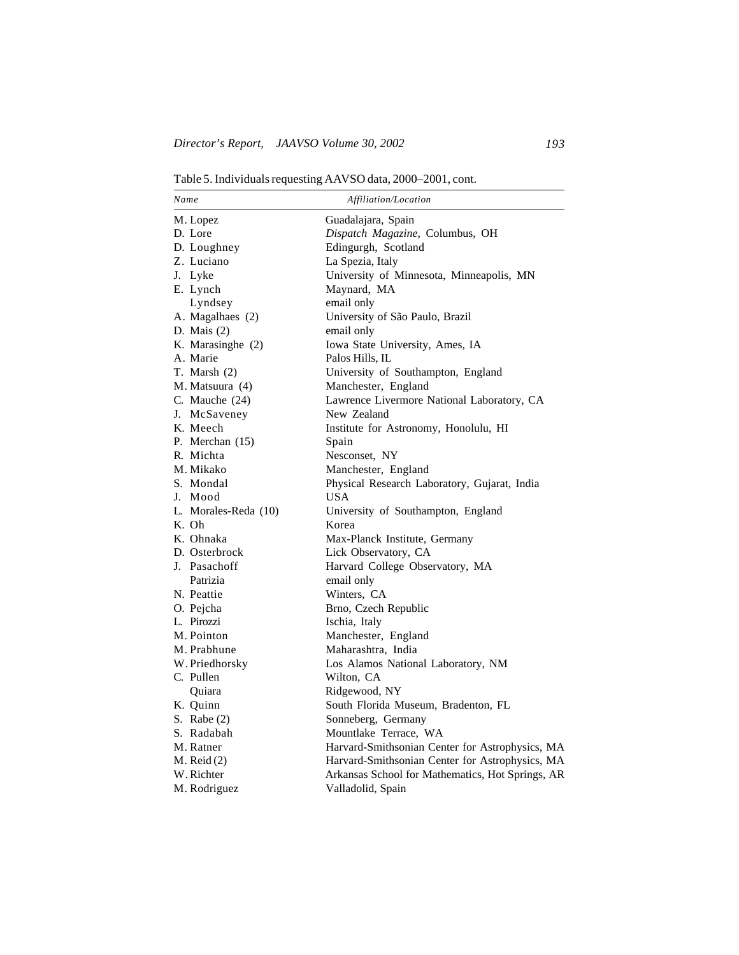Table 5. Individuals requesting AAVSO data, 2000–2001, cont.

| Name                 | Affiliation/Location                             |
|----------------------|--------------------------------------------------|
| M. Lopez             | Guadalajara, Spain                               |
| D. Lore              | Dispatch Magazine, Columbus, OH                  |
| D. Loughney          | Edingurgh, Scotland                              |
| Z. Luciano           | La Spezia, Italy                                 |
| J. Lyke              | University of Minnesota, Minneapolis, MN         |
| E. Lynch             | Maynard, MA                                      |
| Lyndsey              | email only                                       |
| A. Magalhaes (2)     | University of São Paulo, Brazil                  |
| D. Mais $(2)$        | email only                                       |
| K. Marasinghe (2)    | Iowa State University, Ames, IA                  |
| A. Marie             | Palos Hills, IL                                  |
| T. Marsh $(2)$       | University of Southampton, England               |
| M. Matsuura (4)      | Manchester, England                              |
| C. Mauche (24)       | Lawrence Livermore National Laboratory, CA       |
| J. McSaveney         | New Zealand                                      |
| K. Meech             | Institute for Astronomy, Honolulu, HI            |
| P. Merchan (15)      | Spain                                            |
| R. Michta            | Nesconset, NY                                    |
| M. Mikako            | Manchester, England                              |
| S. Mondal            | Physical Research Laboratory, Gujarat, India     |
| J. Mood              | <b>USA</b>                                       |
| L. Morales-Reda (10) | University of Southampton, England               |
| K. Oh                | Korea                                            |
| K. Ohnaka            | Max-Planck Institute, Germany                    |
| D. Osterbrock        | Lick Observatory, CA                             |
| J. Pasachoff         | Harvard College Observatory, MA                  |
| Patrizia             | email only                                       |
| N. Peattie           | Winters, CA                                      |
| O. Pejcha            | Brno, Czech Republic                             |
| L. Pirozzi           | Ischia, Italy                                    |
| M. Pointon           | Manchester, England                              |
| M. Prabhune          | Maharashtra, India                               |
| W. Priedhorsky       | Los Alamos National Laboratory, NM               |
| C. Pullen            | Wilton, CA                                       |
| Quiara               | Ridgewood, NY                                    |
| K. Quinn             | South Florida Museum, Bradenton, FL              |
| S. Rabe $(2)$        | Sonneberg, Germany                               |
| S. Radabah           | Mountlake Terrace, WA                            |
| M. Ratner            | Harvard-Smithsonian Center for Astrophysics, MA  |
| $M.$ Reid $(2)$      | Harvard-Smithsonian Center for Astrophysics, MA  |
| W. Richter           | Arkansas School for Mathematics, Hot Springs, AR |
| M. Rodriguez         | Valladolid, Spain                                |